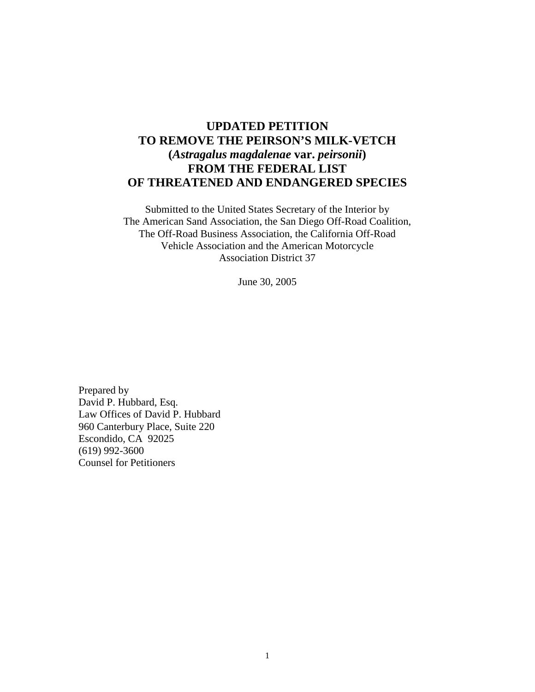# **UPDATED PETITION TO REMOVE THE PEIRSON'S MILK-VETCH (***Astragalus magdalenae* **var.** *peirsonii***) FROM THE FEDERAL LIST OF THREATENED AND ENDANGERED SPECIES**

Submitted to the United States Secretary of the Interior by The American Sand Association, the San Diego Off-Road Coalition, The Off-Road Business Association, the California Off-Road Vehicle Association and the American Motorcycle Association District 37

June 30, 2005

Prepared by David P. Hubbard, Esq. Law Offices of David P. Hubbard 960 Canterbury Place, Suite 220 Escondido, CA 92025 (619) 992-3600 Counsel for Petitioners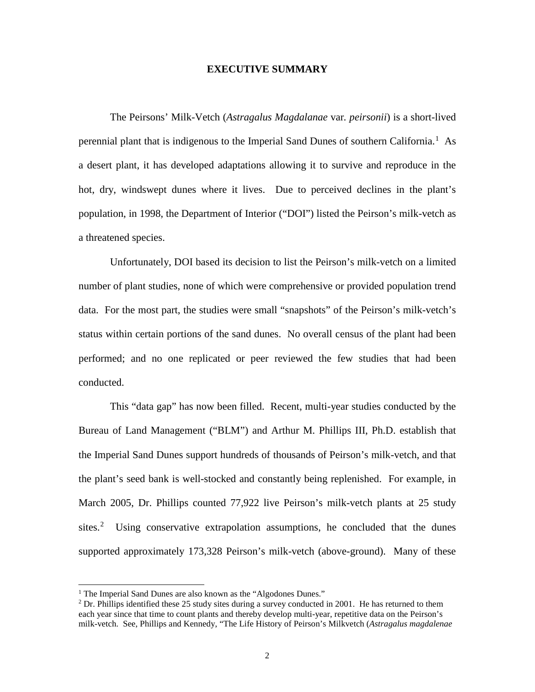#### **EXECUTIVE SUMMARY**

The Peirsons' Milk-Vetch (*Astragalus Magdalanae* var*. peirsonii*) is a short-lived perennial plant that is indigenous to the Imperial Sand Dunes of southern California.<sup>[1](#page-1-0)</sup> As a desert plant, it has developed adaptations allowing it to survive and reproduce in the hot, dry, windswept dunes where it lives. Due to perceived declines in the plant's population, in 1998, the Department of Interior ("DOI") listed the Peirson's milk-vetch as a threatened species.

Unfortunately, DOI based its decision to list the Peirson's milk-vetch on a limited number of plant studies, none of which were comprehensive or provided population trend data. For the most part, the studies were small "snapshots" of the Peirson's milk-vetch's status within certain portions of the sand dunes. No overall census of the plant had been performed; and no one replicated or peer reviewed the few studies that had been conducted.

This "data gap" has now been filled. Recent, multi-year studies conducted by the Bureau of Land Management ("BLM") and Arthur M. Phillips III, Ph.D. establish that the Imperial Sand Dunes support hundreds of thousands of Peirson's milk-vetch, and that the plant's seed bank is well-stocked and constantly being replenished. For example, in March 2005, Dr. Phillips counted 77,922 live Peirson's milk-vetch plants at 25 study sites.<sup>[2](#page-1-1)</sup> Using conservative extrapolation assumptions, he concluded that the dunes supported approximately 173,328 Peirson's milk-vetch (above-ground). Many of these

<sup>&</sup>lt;sup>1</sup> The Imperial Sand Dunes are also known as the "Algodones Dunes."

<span id="page-1-1"></span><span id="page-1-0"></span> $2$  Dr. Phillips identified these 25 study sites during a survey conducted in 2001. He has returned to them each year since that time to count plants and thereby develop multi-year, repetitive data on the Peirson's milk-vetch. See, Phillips and Kennedy, "The Life History of Peirson's Milkvetch (*Astragalus magdalenae*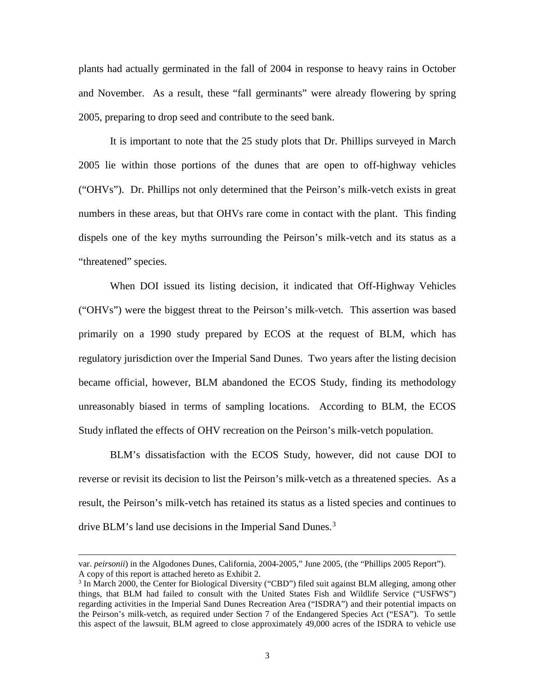plants had actually germinated in the fall of 2004 in response to heavy rains in October and November. As a result, these "fall germinants" were already flowering by spring 2005, preparing to drop seed and contribute to the seed bank.

It is important to note that the 25 study plots that Dr. Phillips surveyed in March 2005 lie within those portions of the dunes that are open to off-highway vehicles ("OHVs"). Dr. Phillips not only determined that the Peirson's milk-vetch exists in great numbers in these areas, but that OHVs rare come in contact with the plant. This finding dispels one of the key myths surrounding the Peirson's milk-vetch and its status as a "threatened" species.

When DOI issued its listing decision, it indicated that Off-Highway Vehicles ("OHVs") were the biggest threat to the Peirson's milk-vetch. This assertion was based primarily on a 1990 study prepared by ECOS at the request of BLM, which has regulatory jurisdiction over the Imperial Sand Dunes. Two years after the listing decision became official, however, BLM abandoned the ECOS Study, finding its methodology unreasonably biased in terms of sampling locations. According to BLM, the ECOS Study inflated the effects of OHV recreation on the Peirson's milk-vetch population.

BLM's dissatisfaction with the ECOS Study, however, did not cause DOI to reverse or revisit its decision to list the Peirson's milk-vetch as a threatened species. As a result, the Peirson's milk-vetch has retained its status as a listed species and continues to drive BLM's land use decisions in the Imperial Sand Dunes.<sup>[3](#page-2-0)</sup>

var. *peirsonii*) in the Algodones Dunes, California, 2004-2005," June 2005, (the "Phillips 2005 Report"). A copy of this report is attached hereto as Exhibit 2.

<span id="page-2-0"></span> $3$  In March 2000, the Center for Biological Diversity ("CBD") filed suit against BLM alleging, among other things, that BLM had failed to consult with the United States Fish and Wildlife Service ("USFWS") regarding activities in the Imperial Sand Dunes Recreation Area ("ISDRA") and their potential impacts on the Peirson's milk-vetch, as required under Section 7 of the Endangered Species Act ("ESA"). To settle this aspect of the lawsuit, BLM agreed to close approximately 49,000 acres of the ISDRA to vehicle use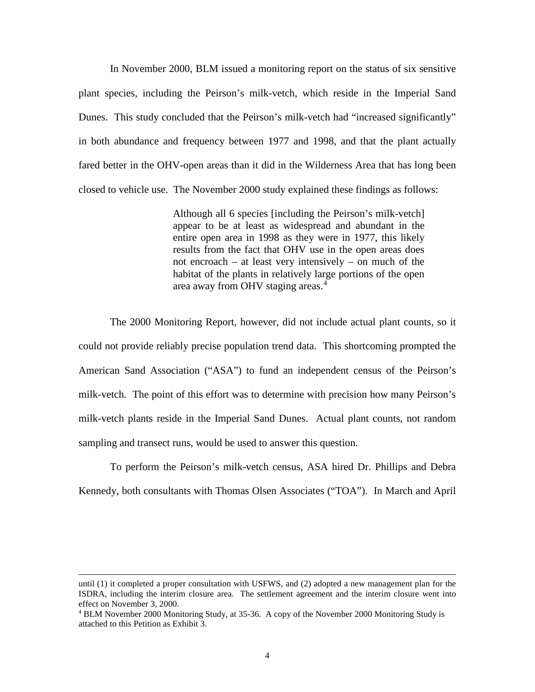In November 2000, BLM issued a monitoring report on the status of six sensitive plant species, including the Peirson's milk-vetch, which reside in the Imperial Sand Dunes. This study concluded that the Peirson's milk-vetch had "increased significantly" in both abundance and frequency between 1977 and 1998, and that the plant actually fared better in the OHV-open areas than it did in the Wilderness Area that has long been closed to vehicle use. The November 2000 study explained these findings as follows:

> Although all 6 species [including the Peirson's milk-vetch] appear to be at least as widespread and abundant in the entire open area in 1998 as they were in 1977, this likely results from the fact that OHV use in the open areas does not encroach – at least very intensively – on much of the habitat of the plants in relatively large portions of the open area away from OHV staging areas.<sup>[4](#page-3-0)</sup>

The 2000 Monitoring Report, however, did not include actual plant counts, so it could not provide reliably precise population trend data. This shortcoming prompted the American Sand Association ("ASA") to fund an independent census of the Peirson's milk-vetch. The point of this effort was to determine with precision how many Peirson's milk-vetch plants reside in the Imperial Sand Dunes. Actual plant counts, not random sampling and transect runs, would be used to answer this question.

To perform the Peirson's milk-vetch census, ASA hired Dr. Phillips and Debra Kennedy, both consultants with Thomas Olsen Associates ("TOA"). In March and April

until (1) it completed a proper consultation with USFWS, and (2) adopted a new management plan for the ISDRA, including the interim closure area. The settlement agreement and the interim closure went into effect on November 3, 2000.

<span id="page-3-0"></span><sup>4</sup> BLM November 2000 Monitoring Study, at 35-36. A copy of the November 2000 Monitoring Study is attached to this Petition as Exhibit 3.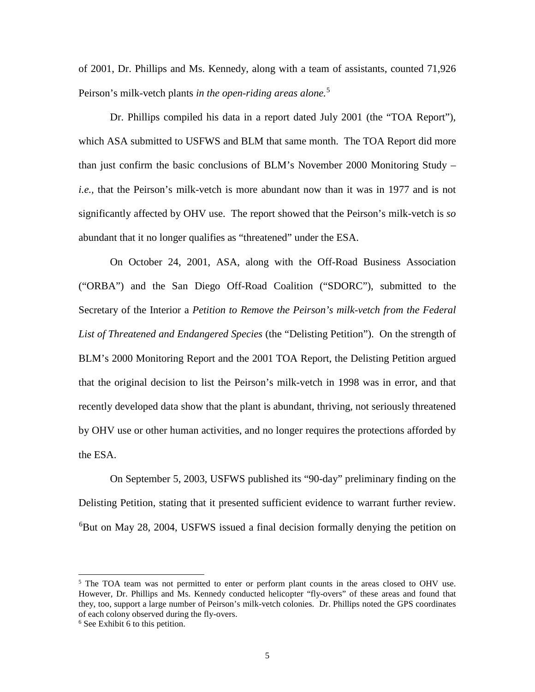of 2001, Dr. Phillips and Ms. Kennedy, along with a team of assistants, counted 71,926 Peirson's milk-vetch plants *in the open-riding areas alone.*[5](#page-4-0)

Dr. Phillips compiled his data in a report dated July 2001 (the "TOA Report"), which ASA submitted to USFWS and BLM that same month. The TOA Report did more than just confirm the basic conclusions of BLM's November 2000 Monitoring Study – *i.e.,* that the Peirson's milk-vetch is more abundant now than it was in 1977 and is not significantly affected by OHV use. The report showed that the Peirson's milk-vetch is *so* abundant that it no longer qualifies as "threatened" under the ESA.

On October 24, 2001, ASA, along with the Off-Road Business Association ("ORBA") and the San Diego Off-Road Coalition ("SDORC"), submitted to the Secretary of the Interior a *Petition to Remove the Peirson's milk-vetch from the Federal List of Threatened and Endangered Species* (the "Delisting Petition"). On the strength of BLM's 2000 Monitoring Report and the 2001 TOA Report, the Delisting Petition argued that the original decision to list the Peirson's milk-vetch in 1998 was in error, and that recently developed data show that the plant is abundant, thriving, not seriously threatened by OHV use or other human activities, and no longer requires the protections afforded by the ESA.

On September 5, 2003, USFWS published its "90-day" preliminary finding on the Delisting Petition, stating that it presented sufficient evidence to warrant further review. [6](#page-4-1) But on May 28, 2004, USFWS issued a final decision formally denying the petition on

<span id="page-4-0"></span> $<sup>5</sup>$  The TOA team was not permitted to enter or perform plant counts in the areas closed to OHV use.</sup> However, Dr. Phillips and Ms. Kennedy conducted helicopter "fly-overs" of these areas and found that they, too, support a large number of Peirson's milk-vetch colonies. Dr. Phillips noted the GPS coordinates of each colony observed during the fly-overs.

<span id="page-4-1"></span><sup>6</sup> See Exhibit 6 to this petition.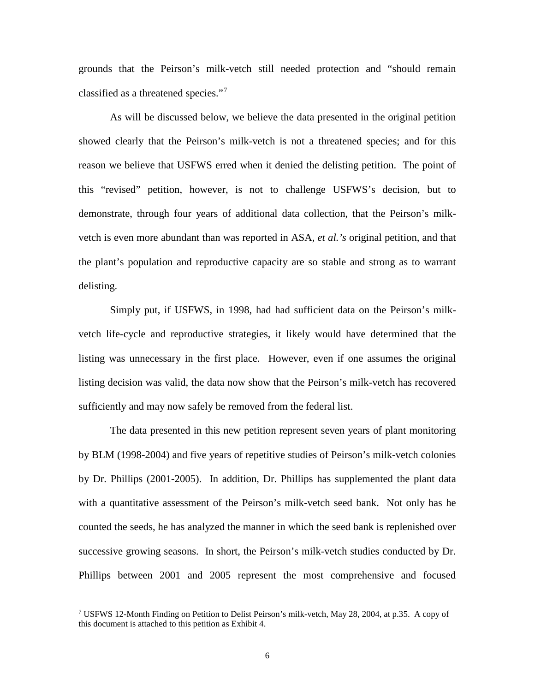grounds that the Peirson's milk-vetch still needed protection and "should remain classified as a threatened species."[7](#page-5-0)

As will be discussed below, we believe the data presented in the original petition showed clearly that the Peirson's milk-vetch is not a threatened species; and for this reason we believe that USFWS erred when it denied the delisting petition. The point of this "revised" petition, however, is not to challenge USFWS's decision, but to demonstrate, through four years of additional data collection, that the Peirson's milkvetch is even more abundant than was reported in ASA, *et al.'s* original petition, and that the plant's population and reproductive capacity are so stable and strong as to warrant delisting.

Simply put, if USFWS, in 1998, had had sufficient data on the Peirson's milkvetch life-cycle and reproductive strategies, it likely would have determined that the listing was unnecessary in the first place. However, even if one assumes the original listing decision was valid, the data now show that the Peirson's milk-vetch has recovered sufficiently and may now safely be removed from the federal list.

The data presented in this new petition represent seven years of plant monitoring by BLM (1998-2004) and five years of repetitive studies of Peirson's milk-vetch colonies by Dr. Phillips (2001-2005). In addition, Dr. Phillips has supplemented the plant data with a quantitative assessment of the Peirson's milk-vetch seed bank. Not only has he counted the seeds, he has analyzed the manner in which the seed bank is replenished over successive growing seasons. In short, the Peirson's milk-vetch studies conducted by Dr. Phillips between 2001 and 2005 represent the most comprehensive and focused

<span id="page-5-0"></span><sup>&</sup>lt;sup>7</sup> USFWS 12-Month Finding on Petition to Delist Peirson's milk-vetch, May 28, 2004, at p.35. A copy of this document is attached to this petition as Exhibit 4.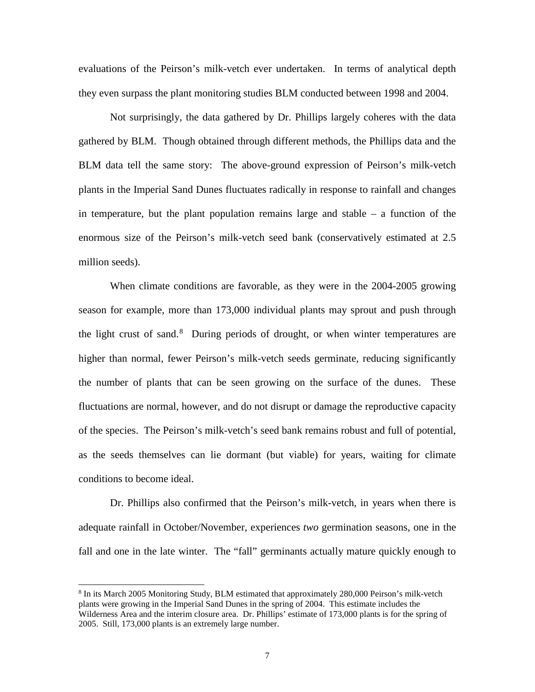evaluations of the Peirson's milk-vetch ever undertaken. In terms of analytical depth they even surpass the plant monitoring studies BLM conducted between 1998 and 2004.

Not surprisingly, the data gathered by Dr. Phillips largely coheres with the data gathered by BLM. Though obtained through different methods, the Phillips data and the BLM data tell the same story: The above-ground expression of Peirson's milk-vetch plants in the Imperial Sand Dunes fluctuates radically in response to rainfall and changes in temperature, but the plant population remains large and stable – a function of the enormous size of the Peirson's milk-vetch seed bank (conservatively estimated at 2.5 million seeds).

When climate conditions are favorable, as they were in the 2004-2005 growing season for example, more than 173,000 individual plants may sprout and push through the light crust of sand.<sup>[8](#page-6-0)</sup> During periods of drought, or when winter temperatures are higher than normal, fewer Peirson's milk-vetch seeds germinate, reducing significantly the number of plants that can be seen growing on the surface of the dunes. These fluctuations are normal, however, and do not disrupt or damage the reproductive capacity of the species. The Peirson's milk-vetch's seed bank remains robust and full of potential, as the seeds themselves can lie dormant (but viable) for years, waiting for climate conditions to become ideal.

Dr. Phillips also confirmed that the Peirson's milk-vetch, in years when there is adequate rainfall in October/November, experiences *two* germination seasons, one in the fall and one in the late winter. The "fall" germinants actually mature quickly enough to

<span id="page-6-0"></span><sup>8</sup> In its March 2005 Monitoring Study, BLM estimated that approximately 280,000 Peirson's milk-vetch plants were growing in the Imperial Sand Dunes in the spring of 2004. This estimate includes the Wilderness Area and the interim closure area. Dr. Phillips' estimate of 173,000 plants is for the spring of 2005. Still, 173,000 plants is an extremely large number.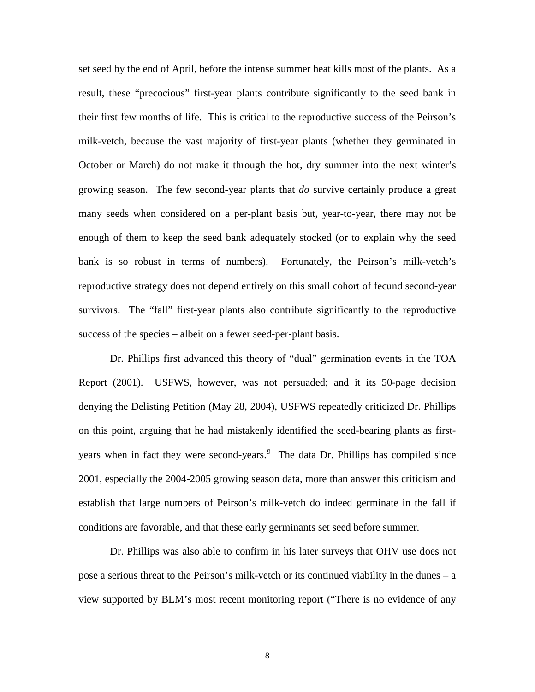set seed by the end of April, before the intense summer heat kills most of the plants. As a result, these "precocious" first-year plants contribute significantly to the seed bank in their first few months of life. This is critical to the reproductive success of the Peirson's milk-vetch, because the vast majority of first-year plants (whether they germinated in October or March) do not make it through the hot, dry summer into the next winter's growing season. The few second-year plants that *do* survive certainly produce a great many seeds when considered on a per-plant basis but, year-to-year, there may not be enough of them to keep the seed bank adequately stocked (or to explain why the seed bank is so robust in terms of numbers). Fortunately, the Peirson's milk-vetch's reproductive strategy does not depend entirely on this small cohort of fecund second-year survivors. The "fall" first-year plants also contribute significantly to the reproductive success of the species – albeit on a fewer seed-per-plant basis.

Dr. Phillips first advanced this theory of "dual" germination events in the TOA Report (2001). USFWS, however, was not persuaded; and it its 50-page decision denying the Delisting Petition (May 28, 2004), USFWS repeatedly criticized Dr. Phillips on this point, arguing that he had mistakenly identified the seed-bearing plants as first-years when in fact they were second-years.<sup>[9](#page-7-0)</sup> The data Dr. Phillips has compiled since 2001, especially the 2004-2005 growing season data, more than answer this criticism and establish that large numbers of Peirson's milk-vetch do indeed germinate in the fall if conditions are favorable, and that these early germinants set seed before summer.

<span id="page-7-0"></span>Dr. Phillips was also able to confirm in his later surveys that OHV use does not pose a serious threat to the Peirson's milk-vetch or its continued viability in the dunes – a view supported by BLM's most recent monitoring report ("There is no evidence of any

8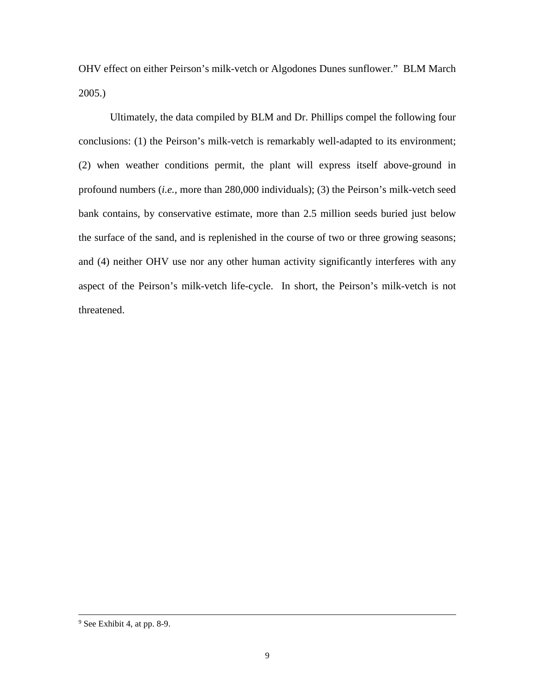OHV effect on either Peirson's milk-vetch or Algodones Dunes sunflower." BLM March 2005.)

Ultimately, the data compiled by BLM and Dr. Phillips compel the following four conclusions: (1) the Peirson's milk-vetch is remarkably well-adapted to its environment; (2) when weather conditions permit, the plant will express itself above-ground in profound numbers (*i.e.,* more than 280,000 individuals); (3) the Peirson's milk-vetch seed bank contains, by conservative estimate, more than 2.5 million seeds buried just below the surface of the sand, and is replenished in the course of two or three growing seasons; and (4) neither OHV use nor any other human activity significantly interferes with any aspect of the Peirson's milk-vetch life-cycle. In short, the Peirson's milk-vetch is not threatened.

<sup>9</sup> See Exhibit 4, at pp. 8-9.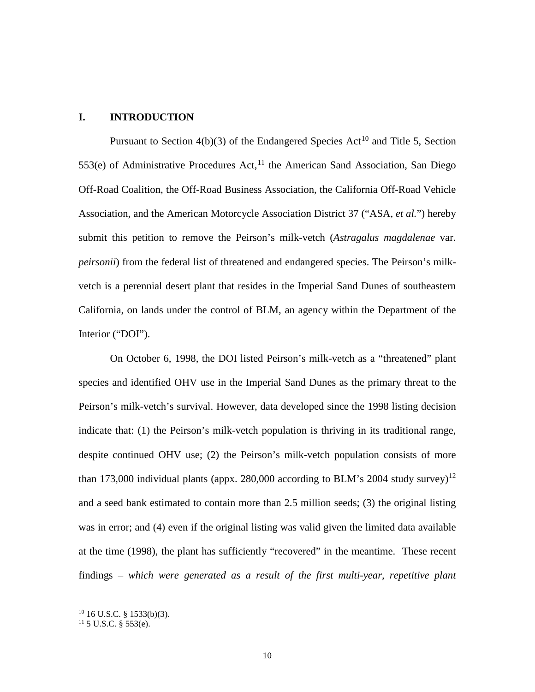### **I. INTRODUCTION**

Pursuant to Section  $4(b)(3)$  of the Endangered Species Act<sup>[10](#page-9-0)</sup> and Title 5, Section  $553(e)$  of Administrative Procedures Act,<sup>[11](#page-9-1)</sup> the American Sand Association, San Diego Off-Road Coalition, the Off-Road Business Association, the California Off-Road Vehicle Association, and the American Motorcycle Association District 37 ("ASA, *et al.*") hereby submit this petition to remove the Peirson's milk-vetch (*Astragalus magdalenae* var. *peirsonii*) from the federal list of threatened and endangered species. The Peirson's milkvetch is a perennial desert plant that resides in the Imperial Sand Dunes of southeastern California, on lands under the control of BLM, an agency within the Department of the Interior ("DOI").

On October 6, 1998, the DOI listed Peirson's milk-vetch as a "threatened" plant species and identified OHV use in the Imperial Sand Dunes as the primary threat to the Peirson's milk-vetch's survival. However, data developed since the 1998 listing decision indicate that: (1) the Peirson's milk-vetch population is thriving in its traditional range, despite continued OHV use; (2) the Peirson's milk-vetch population consists of more than 173,000 individual plants (appx. 280,000 according to BLM's 2004 study survey)<sup>[12](#page-9-2)</sup> and a seed bank estimated to contain more than 2.5 million seeds; (3) the original listing was in error; and (4) even if the original listing was valid given the limited data available at the time (1998), the plant has sufficiently "recovered" in the meantime. These recent findings – *which were generated as a result of the first multi-year, repetitive plant* 

<span id="page-9-2"></span><span id="page-9-0"></span> $10$  16 U.S.C. § 1533(b)(3).

<span id="page-9-1"></span> $11$  5 U.S.C. § 553(e).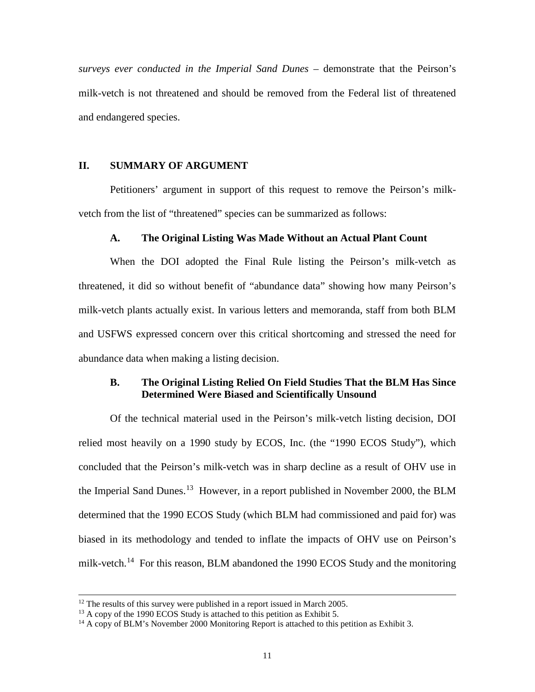*surveys ever conducted in the Imperial Sand Dunes* – demonstrate that the Peirson's milk-vetch is not threatened and should be removed from the Federal list of threatened and endangered species.

## **II. SUMMARY OF ARGUMENT**

Petitioners' argument in support of this request to remove the Peirson's milkvetch from the list of "threatened" species can be summarized as follows:

#### **A. The Original Listing Was Made Without an Actual Plant Count**

When the DOI adopted the Final Rule listing the Peirson's milk-vetch as threatened, it did so without benefit of "abundance data" showing how many Peirson's milk-vetch plants actually exist. In various letters and memoranda, staff from both BLM and USFWS expressed concern over this critical shortcoming and stressed the need for abundance data when making a listing decision.

### **B. The Original Listing Relied On Field Studies That the BLM Has Since Determined Were Biased and Scientifically Unsound**

Of the technical material used in the Peirson's milk-vetch listing decision, DOI relied most heavily on a 1990 study by ECOS, Inc. (the "1990 ECOS Study"), which concluded that the Peirson's milk-vetch was in sharp decline as a result of OHV use in the Imperial Sand Dunes.<sup>[13](#page-10-0)</sup> However, in a report published in November 2000, the BLM determined that the 1990 ECOS Study (which BLM had commissioned and paid for) was biased in its methodology and tended to inflate the impacts of OHV use on Peirson's milk-vetch.<sup>14</sup> For this reason, BLM abandoned the 1990 ECOS Study and the monitoring

 $12$  The results of this survey were published in a report issued in March 2005.

<span id="page-10-0"></span> $13$  A copy of the 1990 ECOS Study is attached to this petition as Exhibit 5.

<span id="page-10-1"></span><sup>&</sup>lt;sup>14</sup> A copy of BLM's November 2000 Monitoring Report is attached to this petition as Exhibit 3.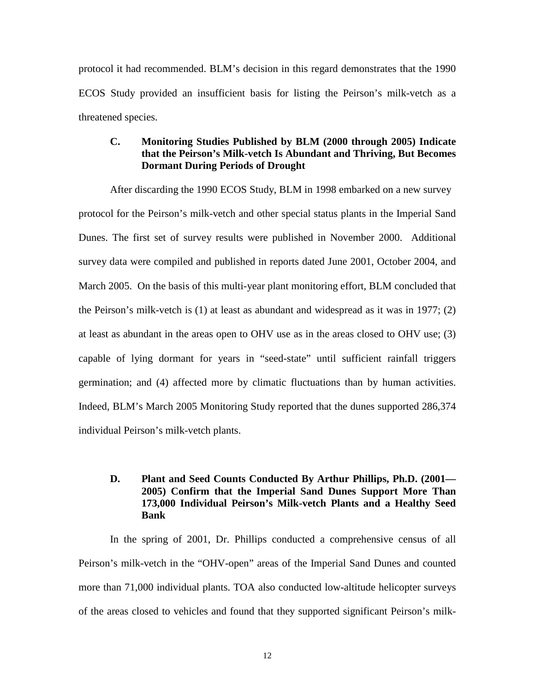protocol it had recommended. BLM's decision in this regard demonstrates that the 1990 ECOS Study provided an insufficient basis for listing the Peirson's milk-vetch as a threatened species.

## **C. Monitoring Studies Published by BLM (2000 through 2005) Indicate that the Peirson's Milk-vetch Is Abundant and Thriving, But Becomes Dormant During Periods of Drought**

After discarding the 1990 ECOS Study, BLM in 1998 embarked on a new survey protocol for the Peirson's milk-vetch and other special status plants in the Imperial Sand Dunes. The first set of survey results were published in November 2000. Additional survey data were compiled and published in reports dated June 2001, October 2004, and March 2005. On the basis of this multi-year plant monitoring effort, BLM concluded that the Peirson's milk-vetch is (1) at least as abundant and widespread as it was in 1977; (2) at least as abundant in the areas open to OHV use as in the areas closed to OHV use; (3) capable of lying dormant for years in "seed-state" until sufficient rainfall triggers germination; and (4) affected more by climatic fluctuations than by human activities. Indeed, BLM's March 2005 Monitoring Study reported that the dunes supported 286,374 individual Peirson's milk-vetch plants.

## **D. Plant and Seed Counts Conducted By Arthur Phillips, Ph.D. (2001— 2005) Confirm that the Imperial Sand Dunes Support More Than 173,000 Individual Peirson's Milk-vetch Plants and a Healthy Seed Bank**

In the spring of 2001, Dr. Phillips conducted a comprehensive census of all Peirson's milk-vetch in the "OHV-open" areas of the Imperial Sand Dunes and counted more than 71,000 individual plants. TOA also conducted low-altitude helicopter surveys of the areas closed to vehicles and found that they supported significant Peirson's milk-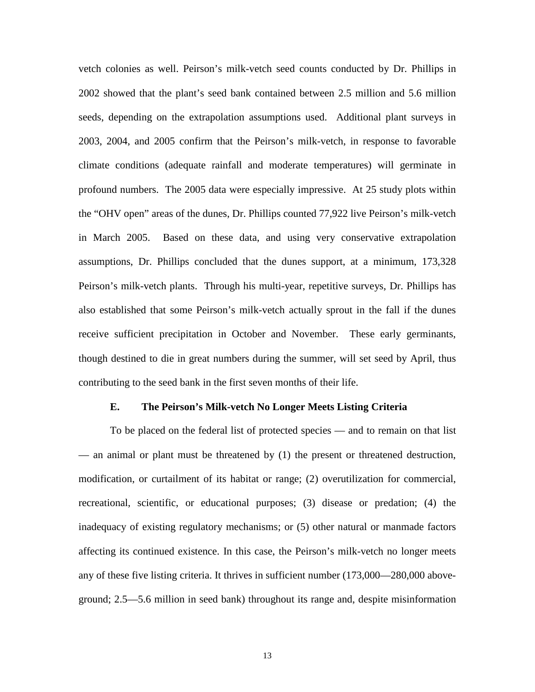vetch colonies as well. Peirson's milk-vetch seed counts conducted by Dr. Phillips in 2002 showed that the plant's seed bank contained between 2.5 million and 5.6 million seeds, depending on the extrapolation assumptions used. Additional plant surveys in 2003, 2004, and 2005 confirm that the Peirson's milk-vetch, in response to favorable climate conditions (adequate rainfall and moderate temperatures) will germinate in profound numbers. The 2005 data were especially impressive. At 25 study plots within the "OHV open" areas of the dunes, Dr. Phillips counted 77,922 live Peirson's milk-vetch in March 2005. Based on these data, and using very conservative extrapolation assumptions, Dr. Phillips concluded that the dunes support, at a minimum, 173,328 Peirson's milk-vetch plants. Through his multi-year, repetitive surveys, Dr. Phillips has also established that some Peirson's milk-vetch actually sprout in the fall if the dunes receive sufficient precipitation in October and November. These early germinants, though destined to die in great numbers during the summer, will set seed by April, thus contributing to the seed bank in the first seven months of their life.

#### **E. The Peirson's Milk-vetch No Longer Meets Listing Criteria**

To be placed on the federal list of protected species — and to remain on that list — an animal or plant must be threatened by (1) the present or threatened destruction, modification, or curtailment of its habitat or range; (2) overutilization for commercial, recreational, scientific, or educational purposes; (3) disease or predation; (4) the inadequacy of existing regulatory mechanisms; or (5) other natural or manmade factors affecting its continued existence. In this case, the Peirson's milk-vetch no longer meets any of these five listing criteria. It thrives in sufficient number (173,000—280,000 aboveground; 2.5—5.6 million in seed bank) throughout its range and, despite misinformation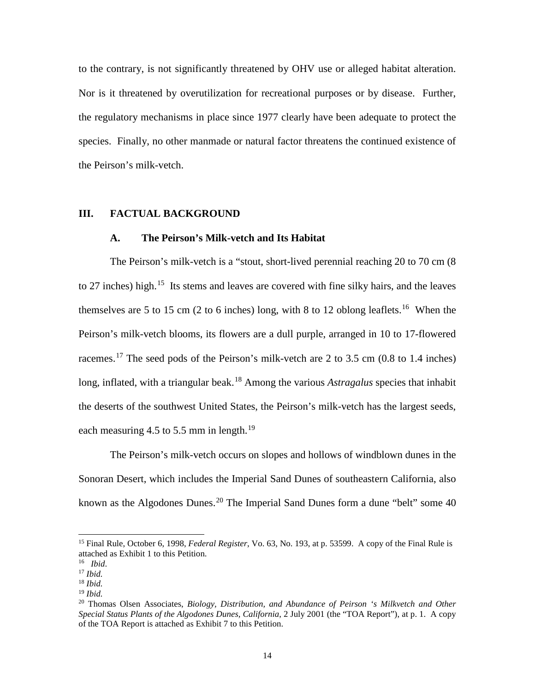to the contrary, is not significantly threatened by OHV use or alleged habitat alteration. Nor is it threatened by overutilization for recreational purposes or by disease. Further, the regulatory mechanisms in place since 1977 clearly have been adequate to protect the species. Finally, no other manmade or natural factor threatens the continued existence of the Peirson's milk-vetch.

#### **III. FACTUAL BACKGROUND**

#### **A. The Peirson's Milk-vetch and Its Habitat**

The Peirson's milk-vetch is a "stout, short-lived perennial reaching 20 to 70 cm (8 to 27 inches) high.<sup>[15](#page-13-0)</sup> Its stems and leaves are covered with fine silky hairs, and the leaves themselves are 5 to 15 cm (2 to 6 inches) long, with 8 to 12 oblong leaflets.<sup>[16](#page-13-1)</sup> When the Peirson's milk-vetch blooms, its flowers are a dull purple, arranged in 10 to 17-flowered racemes.<sup>[17](#page-13-2)</sup> The seed pods of the Peirson's milk-vetch are 2 to 3.5 cm (0.8 to 1.4 inches) long, inflated, with a triangular beak.<sup>[18](#page-13-3)</sup> Among the various *Astragalus* species that inhabit the deserts of the southwest United States, the Peirson's milk-vetch has the largest seeds, each measuring 4.5 to 5.5 mm in length.<sup>[19](#page-13-4)</sup>

The Peirson's milk-vetch occurs on slopes and hollows of windblown dunes in the Sonoran Desert, which includes the Imperial Sand Dunes of southeastern California, also known as the Algodones Dunes.<sup>[20](#page-13-5)</sup> The Imperial Sand Dunes form a dune "belt" some 40

<span id="page-13-0"></span><sup>15</sup> Final Rule, October 6, 1998, *Federal Register*, Vo. 63, No. 193, at p. 53599. A copy of the Final Rule is attached as Exhibit 1 to this Petition.

<span id="page-13-1"></span><sup>16</sup> *Ibid*.

<span id="page-13-2"></span><sup>17</sup> *Ibid.* <sup>18</sup> *Ibid.*

<span id="page-13-4"></span><span id="page-13-3"></span><sup>19</sup> *Ibid.*

<span id="page-13-5"></span><sup>20</sup> Thomas Olsen Associates, *Biology, Distribution, and Abundance of Peirson 's Milkvetch and Other Special Status Plants of the Algodones Dunes, California*, 2 July 2001 (the "TOA Report"), at p. 1. A copy of the TOA Report is attached as Exhibit 7 to this Petition.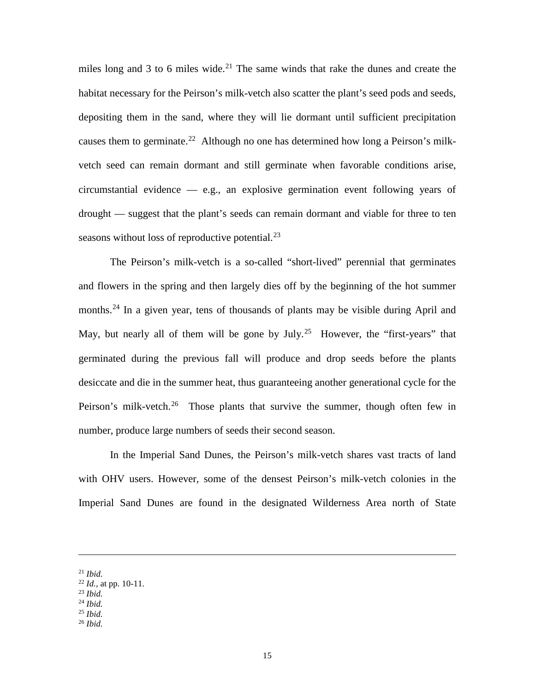miles long and 3 to 6 miles wide.<sup>[21](#page-14-0)</sup> The same winds that rake the dunes and create the habitat necessary for the Peirson's milk-vetch also scatter the plant's seed pods and seeds, depositing them in the sand, where they will lie dormant until sufficient precipitation causes them to germinate.<sup>22</sup> Although no one has determined how long a Peirson's milkvetch seed can remain dormant and still germinate when favorable conditions arise, circumstantial evidence — e.g., an explosive germination event following years of drought — suggest that the plant's seeds can remain dormant and viable for three to ten seasons without loss of reproductive potential. $^{23}$  $^{23}$  $^{23}$ 

The Peirson's milk-vetch is a so-called "short-lived" perennial that germinates and flowers in the spring and then largely dies off by the beginning of the hot summer months.<sup>[24](#page-14-3)</sup> In a given year, tens of thousands of plants may be visible during April and May, but nearly all of them will be gone by July.<sup>25</sup> However, the "first-years" that germinated during the previous fall will produce and drop seeds before the plants desiccate and die in the summer heat, thus guaranteeing another generational cycle for the Peirson's milk-vetch.<sup>[26](#page-14-5)</sup> Those plants that survive the summer, though often few in number, produce large numbers of seeds their second season.

In the Imperial Sand Dunes, the Peirson's milk-vetch shares vast tracts of land with OHV users. However, some of the densest Peirson's milk-vetch colonies in the Imperial Sand Dunes are found in the designated Wilderness Area north of State

 $\overline{a}$ 

<span id="page-14-5"></span><sup>26</sup> *Ibid.*

<span id="page-14-0"></span><sup>21</sup> *Ibid.*

<span id="page-14-1"></span><sup>22</sup> *Id.,* at pp. 10-11.

<span id="page-14-2"></span><sup>23</sup> *Ibid.*

<span id="page-14-4"></span><span id="page-14-3"></span><sup>24</sup> *Ibid.*

<sup>25</sup> *Ibid.*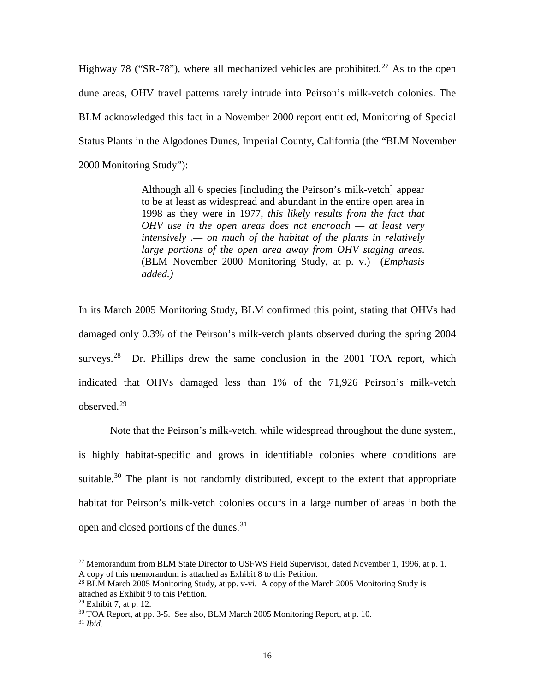Highway 78 ("SR-78"), where all mechanized vehicles are prohibited.<sup>[27](#page-15-0)</sup> As to the open dune areas, OHV travel patterns rarely intrude into Peirson's milk-vetch colonies. The BLM acknowledged this fact in a November 2000 report entitled, Monitoring of Special Status Plants in the Algodones Dunes, Imperial County, California (the "BLM November 2000 Monitoring Study"):

> Although all 6 species [including the Peirson's milk-vetch] appear to be at least as widespread and abundant in the entire open area in 1998 as they were in 1977, *this likely results from the fact that OHV use in the open areas does not encroach — at least very intensively .— on much of the habitat of the plants in relatively large portions of the open area away from OHV staging areas*. (BLM November 2000 Monitoring Study, at p. v.) (*Emphasis added.)*

In its March 2005 Monitoring Study, BLM confirmed this point, stating that OHVs had damaged only 0.3% of the Peirson's milk-vetch plants observed during the spring 2004 surveys.<sup>[28](#page-15-1)</sup> Dr. Phillips drew the same conclusion in the 2001 TOA report, which indicated that OHVs damaged less than 1% of the 71,926 Peirson's milk-vetch observed.[29](#page-15-2)

Note that the Peirson's milk-vetch, while widespread throughout the dune system, is highly habitat-specific and grows in identifiable colonies where conditions are suitable.<sup>[30](#page-15-3)</sup> The plant is not randomly distributed, except to the extent that appropriate habitat for Peirson's milk-vetch colonies occurs in a large number of areas in both the open and closed portions of the dunes.<sup>[31](#page-15-4)</sup>

<span id="page-15-0"></span><sup>&</sup>lt;sup>27</sup> Memorandum from BLM State Director to USFWS Field Supervisor, dated November 1, 1996, at p. 1. A copy of this memorandum is attached as Exhibit 8 to this Petition.

<span id="page-15-1"></span><sup>&</sup>lt;sup>28</sup> BLM March 2005 Monitoring Study, at pp. v-vi. A copy of the March 2005 Monitoring Study is attached as Exhibit 9 to this Petition.

<span id="page-15-3"></span><span id="page-15-2"></span><sup>29</sup> Exhibit 7, at p. 12.

 $30$  TOA Report, at pp. 3-5. See also, BLM March 2005 Monitoring Report, at p. 10.

<span id="page-15-4"></span><sup>31</sup> *Ibid.*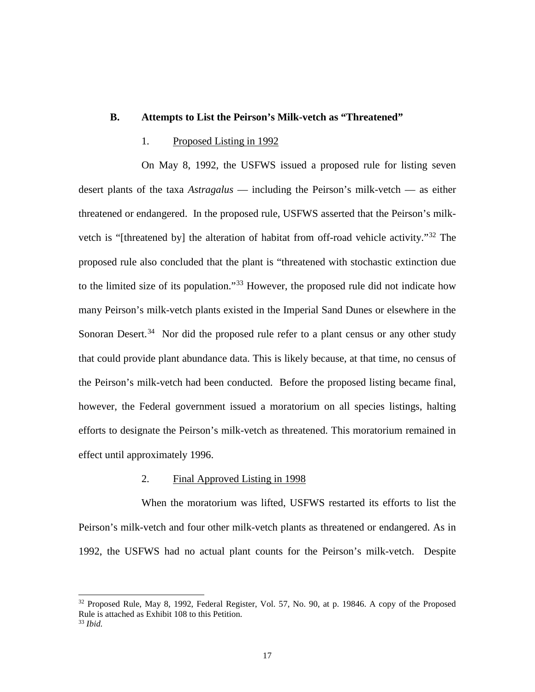### **B. Attempts to List the Peirson's Milk-vetch as "Threatened"**

#### 1. Proposed Listing in 1992

On May 8, 1992, the USFWS issued a proposed rule for listing seven desert plants of the taxa *Astragalus* — including the Peirson's milk-vetch — as either threatened or endangered. In the proposed rule, USFWS asserted that the Peirson's milkvetch is "[threatened by] the alteration of habitat from off-road vehicle activity."[32](#page-16-0) The proposed rule also concluded that the plant is "threatened with stochastic extinction due to the limited size of its population."[33](#page-16-1) However, the proposed rule did not indicate how many Peirson's milk-vetch plants existed in the Imperial Sand Dunes or elsewhere in the Sonoran Desert.<sup>[34](#page-16-0)</sup> Nor did the proposed rule refer to a plant census or any other study that could provide plant abundance data. This is likely because, at that time, no census of the Peirson's milk-vetch had been conducted. Before the proposed listing became final, however, the Federal government issued a moratorium on all species listings, halting efforts to designate the Peirson's milk-vetch as threatened. This moratorium remained in effect until approximately 1996.

#### 2. Final Approved Listing in 1998

When the moratorium was lifted, USFWS restarted its efforts to list the Peirson's milk-vetch and four other milk-vetch plants as threatened or endangered. As in 1992, the USFWS had no actual plant counts for the Peirson's milk-vetch. Despite

<span id="page-16-0"></span> $32$  Proposed Rule, May 8, 1992, Federal Register, Vol. 57, No. 90, at p. 19846. A copy of the Proposed Rule is attached as Exhibit 108 to this Petition.

<span id="page-16-1"></span><sup>33</sup> *Ibid.*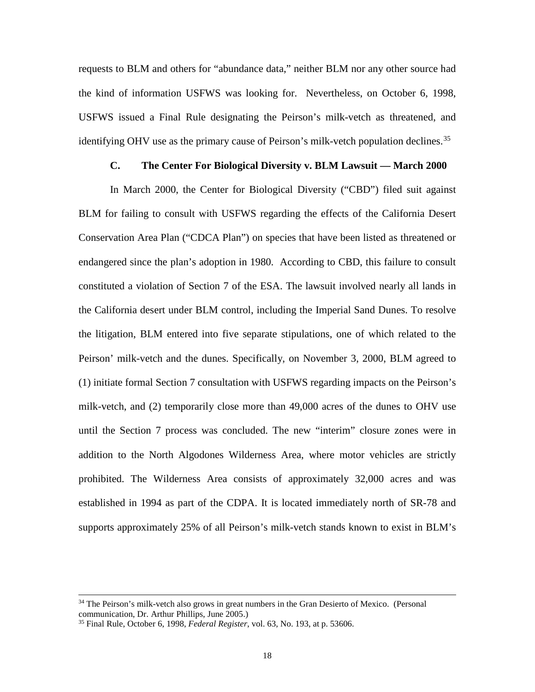requests to BLM and others for "abundance data," neither BLM nor any other source had the kind of information USFWS was looking for. Nevertheless, on October 6, 1998, USFWS issued a Final Rule designating the Peirson's milk-vetch as threatened, and identifying OHV use as the primary cause of Peirson's milk-vetch population declines.<sup>[35](#page-17-0)</sup>

### **C. The Center For Biological Diversity v. BLM Lawsuit — March 2000**

In March 2000, the Center for Biological Diversity ("CBD") filed suit against BLM for failing to consult with USFWS regarding the effects of the California Desert Conservation Area Plan ("CDCA Plan") on species that have been listed as threatened or endangered since the plan's adoption in 1980. According to CBD, this failure to consult constituted a violation of Section 7 of the ESA. The lawsuit involved nearly all lands in the California desert under BLM control, including the Imperial Sand Dunes. To resolve the litigation, BLM entered into five separate stipulations, one of which related to the Peirson' milk-vetch and the dunes. Specifically, on November 3, 2000, BLM agreed to (1) initiate formal Section 7 consultation with USFWS regarding impacts on the Peirson's milk-vetch, and (2) temporarily close more than 49,000 acres of the dunes to OHV use until the Section 7 process was concluded. The new "interim" closure zones were in addition to the North Algodones Wilderness Area, where motor vehicles are strictly prohibited. The Wilderness Area consists of approximately 32,000 acres and was established in 1994 as part of the CDPA. It is located immediately north of SR-78 and supports approximately 25% of all Peirson's milk-vetch stands known to exist in BLM's

<sup>&</sup>lt;sup>34</sup> The Peirson's milk-vetch also grows in great numbers in the Gran Desierto of Mexico. (Personal communication, Dr. Arthur Phillips, June 2005.)

<span id="page-17-0"></span><sup>35</sup> Final Rule, October 6, 1998, *Federal Register*, vol. 63, No. 193, at p. 53606.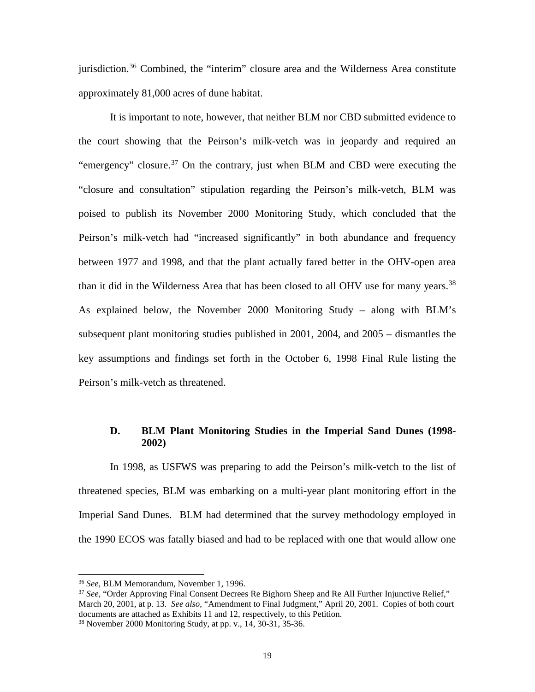jurisdiction.[36](#page-18-0) Combined, the "interim" closure area and the Wilderness Area constitute approximately 81,000 acres of dune habitat.

It is important to note, however, that neither BLM nor CBD submitted evidence to the court showing that the Peirson's milk-vetch was in jeopardy and required an "emergency" closure.<sup>[37](#page-18-1)</sup> On the contrary, just when BLM and CBD were executing the "closure and consultation" stipulation regarding the Peirson's milk-vetch, BLM was poised to publish its November 2000 Monitoring Study, which concluded that the Peirson's milk-vetch had "increased significantly" in both abundance and frequency between 1977 and 1998, and that the plant actually fared better in the OHV-open area than it did in the Wilderness Area that has been closed to all OHV use for many years.<sup>[38](#page-18-2)</sup> As explained below, the November 2000 Monitoring Study – along with BLM's subsequent plant monitoring studies published in 2001, 2004, and 2005 – dismantles the key assumptions and findings set forth in the October 6, 1998 Final Rule listing the Peirson's milk-vetch as threatened.

#### **D. BLM Plant Monitoring Studies in the Imperial Sand Dunes (1998- 2002)**

In 1998, as USFWS was preparing to add the Peirson's milk-vetch to the list of threatened species, BLM was embarking on a multi-year plant monitoring effort in the Imperial Sand Dunes. BLM had determined that the survey methodology employed in the 1990 ECOS was fatally biased and had to be replaced with one that would allow one

<span id="page-18-0"></span><sup>36</sup> *See,* BLM Memorandum, November 1, 1996.

<span id="page-18-1"></span><sup>37</sup> *See,* "Order Approving Final Consent Decrees Re Bighorn Sheep and Re All Further Injunctive Relief," March 20, 2001, at p. 13. *See also*, "Amendment to Final Judgment," April 20, 2001. Copies of both court documents are attached as Exhibits 11 and 12, respectively, to this Petition.

<span id="page-18-2"></span><sup>38</sup> November 2000 Monitoring Study, at pp. v., 14, 30-31, 35-36.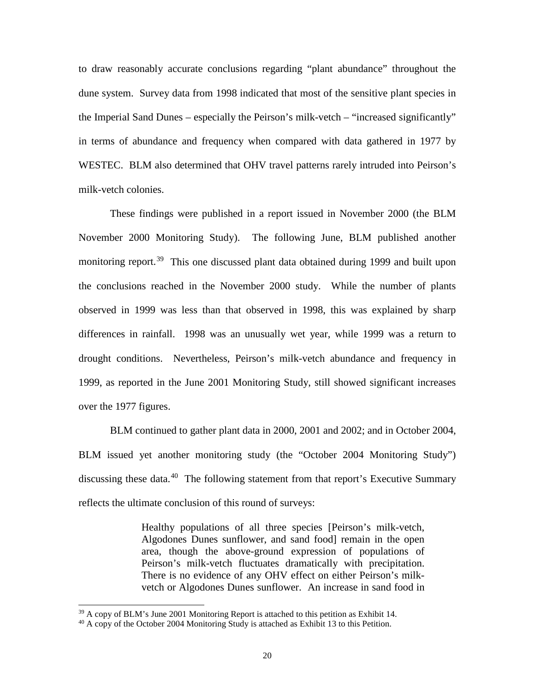to draw reasonably accurate conclusions regarding "plant abundance" throughout the dune system. Survey data from 1998 indicated that most of the sensitive plant species in the Imperial Sand Dunes – especially the Peirson's milk-vetch – "increased significantly" in terms of abundance and frequency when compared with data gathered in 1977 by WESTEC. BLM also determined that OHV travel patterns rarely intruded into Peirson's milk-vetch colonies.

These findings were published in a report issued in November 2000 (the BLM November 2000 Monitoring Study). The following June, BLM published another monitoring report.<sup>[39](#page-19-0)</sup> This one discussed plant data obtained during 1999 and built upon the conclusions reached in the November 2000 study. While the number of plants observed in 1999 was less than that observed in 1998, this was explained by sharp differences in rainfall. 1998 was an unusually wet year, while 1999 was a return to drought conditions. Nevertheless, Peirson's milk-vetch abundance and frequency in 1999, as reported in the June 2001 Monitoring Study, still showed significant increases over the 1977 figures.

BLM continued to gather plant data in 2000, 2001 and 2002; and in October 2004, BLM issued yet another monitoring study (the "October 2004 Monitoring Study") discussing these data.<sup>40</sup> The following statement from that report's Executive Summary reflects the ultimate conclusion of this round of surveys:

> Healthy populations of all three species [Peirson's milk-vetch, Algodones Dunes sunflower, and sand food] remain in the open area, though the above-ground expression of populations of Peirson's milk-vetch fluctuates dramatically with precipitation. There is no evidence of any OHV effect on either Peirson's milkvetch or Algodones Dunes sunflower. An increase in sand food in

<span id="page-19-0"></span> $39$  A copy of BLM's June 2001 Monitoring Report is attached to this petition as Exhibit 14.

<span id="page-19-1"></span><sup>&</sup>lt;sup>40</sup> A copy of the October 2004 Monitoring Study is attached as Exhibit 13 to this Petition.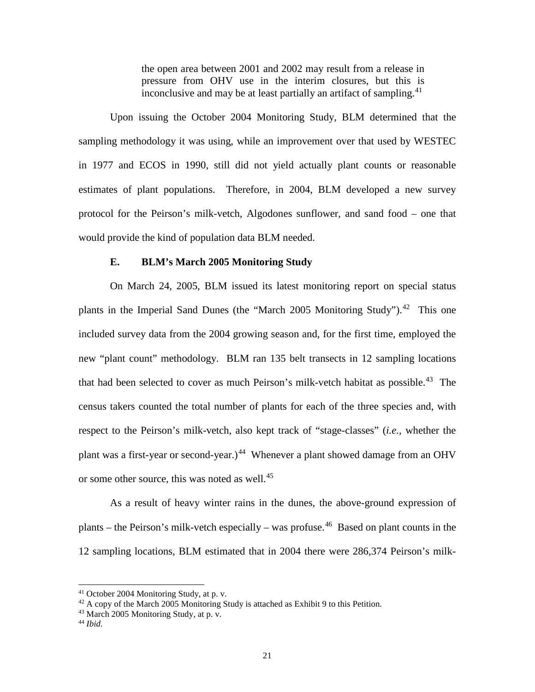the open area between 2001 and 2002 may result from a release in pressure from OHV use in the interim closures, but this is inconclusive and may be at least partially an artifact of sampling.<sup>[41](#page-20-0)</sup>

Upon issuing the October 2004 Monitoring Study, BLM determined that the sampling methodology it was using, while an improvement over that used by WESTEC in 1977 and ECOS in 1990, still did not yield actually plant counts or reasonable estimates of plant populations. Therefore, in 2004, BLM developed a new survey protocol for the Peirson's milk-vetch, Algodones sunflower, and sand food – one that would provide the kind of population data BLM needed.

#### **E. BLM's March 2005 Monitoring Study**

On March 24, 2005, BLM issued its latest monitoring report on special status plants in the Imperial Sand Dunes (the "March 2005 Monitoring Study").<sup>[42](#page-20-1)</sup> This one included survey data from the 2004 growing season and, for the first time, employed the new "plant count" methodology. BLM ran 135 belt transects in 12 sampling locations that had been selected to cover as much Peirson's milk-vetch habitat as possible.<sup>43</sup> The census takers counted the total number of plants for each of the three species and, with respect to the Peirson's milk-vetch, also kept track of "stage-classes" (*i.e.,* whether the plant was a first-year or second-year.)<sup>[44](#page-20-3)</sup> Whenever a plant showed damage from an OHV or some other source, this was noted as well.<sup>[45](#page-20-4)</sup>

As a result of heavy winter rains in the dunes, the above-ground expression of plants – the Peirson's milk-vetch especially – was profuse.<sup>[46](#page-20-5)</sup> Based on plant counts in the 12 sampling locations, BLM estimated that in 2004 there were 286,374 Peirson's milk-

<span id="page-20-5"></span><span id="page-20-4"></span><sup>&</sup>lt;sup>41</sup> October 2004 Monitoring Study, at p. v.

<span id="page-20-1"></span><span id="page-20-0"></span> $42$  A copy of the March 2005 Monitoring Study is attached as Exhibit 9 to this Petition.

<span id="page-20-2"></span> $43$  March 2005 Monitoring Study, at p. y.

<span id="page-20-3"></span><sup>44</sup> *Ibid.*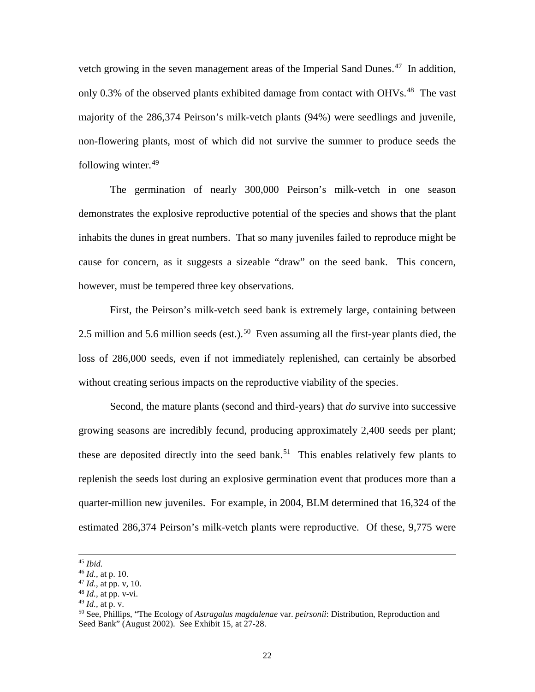vetch growing in the seven management areas of the Imperial Sand Dunes.<sup>[47](#page-21-0)</sup> In addition, only 0.3% of the observed plants exhibited damage from contact with OHVs.<sup>[48](#page-21-1)</sup> The vast majority of the 286,374 Peirson's milk-vetch plants (94%) were seedlings and juvenile, non-flowering plants, most of which did not survive the summer to produce seeds the following winter.<sup>[49](#page-21-2)</sup>

The germination of nearly 300,000 Peirson's milk-vetch in one season demonstrates the explosive reproductive potential of the species and shows that the plant inhabits the dunes in great numbers. That so many juveniles failed to reproduce might be cause for concern, as it suggests a sizeable "draw" on the seed bank. This concern, however, must be tempered three key observations.

First, the Peirson's milk-vetch seed bank is extremely large, containing between 2.5 million and 5.6 million seeds (est.).<sup>[50](#page-21-3)</sup> Even assuming all the first-year plants died, the loss of 286,000 seeds, even if not immediately replenished, can certainly be absorbed without creating serious impacts on the reproductive viability of the species.

Second, the mature plants (second and third-years) that *do* survive into successive growing seasons are incredibly fecund, producing approximately 2,400 seeds per plant; these are deposited directly into the seed bank.<sup>51</sup> This enables relatively few plants to replenish the seeds lost during an explosive germination event that produces more than a quarter-million new juveniles. For example, in 2004, BLM determined that 16,324 of the estimated 286,374 Peirson's milk-vetch plants were reproductive. Of these, 9,775 were

<sup>45</sup> *Ibid.*

<sup>46</sup> *Id.*, at p. 10.

<span id="page-21-0"></span><sup>47</sup> *Id.*, at pp. v, 10.

<span id="page-21-1"></span><sup>48</sup> *Id.,* at pp. v-vi.

<span id="page-21-2"></span><sup>49</sup> *Id.*, at p. v.

<span id="page-21-3"></span><sup>50</sup> See, Phillips, "The Ecology of *Astragalus magdalenae* var. *peirsonii*: Distribution, Reproduction and Seed Bank" (August 2002). See Exhibit 15, at 27-28.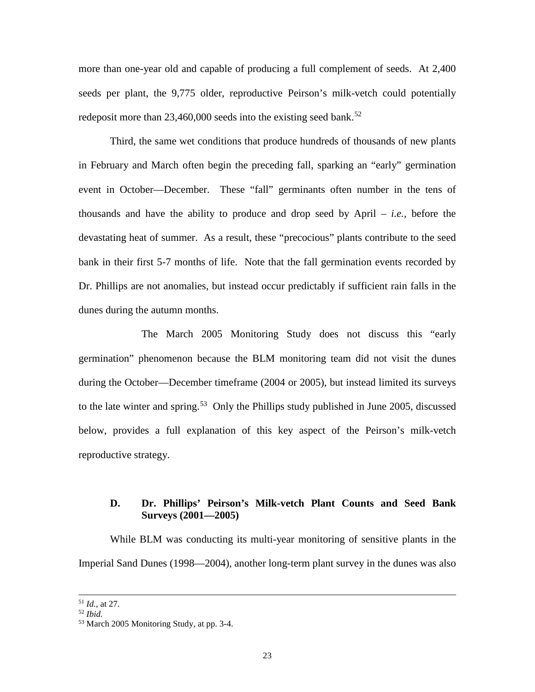more than one-year old and capable of producing a full complement of seeds. At 2,400 seeds per plant, the 9,775 older, reproductive Peirson's milk-vetch could potentially redeposit more than  $23,460,000$  seeds into the existing seed bank.<sup>[52](#page-22-0)</sup>

Third, the same wet conditions that produce hundreds of thousands of new plants in February and March often begin the preceding fall, sparking an "early" germination event in October—December. These "fall" germinants often number in the tens of thousands and have the ability to produce and drop seed by April – *i.e.,* before the devastating heat of summer. As a result, these "precocious" plants contribute to the seed bank in their first 5-7 months of life. Note that the fall germination events recorded by Dr. Phillips are not anomalies, but instead occur predictably if sufficient rain falls in the dunes during the autumn months.

The March 2005 Monitoring Study does not discuss this "early germination" phenomenon because the BLM monitoring team did not visit the dunes during the October—December timeframe (2004 or 2005), but instead limited its surveys to the late winter and spring.<sup>[53](#page-22-1)</sup> Only the Phillips study published in June 2005, discussed below, provides a full explanation of this key aspect of the Peirson's milk-vetch reproductive strategy.

## **D. Dr. Phillips' Peirson's Milk-vetch Plant Counts and Seed Bank Surveys (2001—2005)**

While BLM was conducting its multi-year monitoring of sensitive plants in the Imperial Sand Dunes (1998—2004), another long-term plant survey in the dunes was also

<sup>51</sup> *Id.*, at 27.

<span id="page-22-0"></span><sup>52</sup> *Ibid.*

<span id="page-22-1"></span><sup>53</sup> March 2005 Monitoring Study, at pp. 3-4.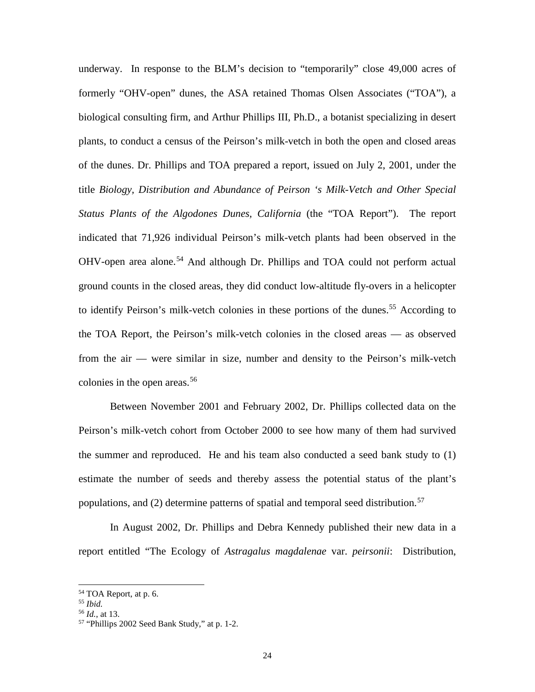underway. In response to the BLM's decision to "temporarily" close 49,000 acres of formerly "OHV-open" dunes, the ASA retained Thomas Olsen Associates ("TOA"), a biological consulting firm, and Arthur Phillips III, Ph.D., a botanist specializing in desert plants, to conduct a census of the Peirson's milk-vetch in both the open and closed areas of the dunes. Dr. Phillips and TOA prepared a report, issued on July 2, 2001, under the title *Biology, Distribution and Abundance of Peirson 's Milk-Vetch and Other Special Status Plants of the Algodones Dunes, California* (the "TOA Report"). The report indicated that 71,926 individual Peirson's milk-vetch plants had been observed in the OHV-open area alone.<sup>[54](#page-23-0)</sup> And although Dr. Phillips and TOA could not perform actual ground counts in the closed areas, they did conduct low-altitude fly-overs in a helicopter to identify Peirson's milk-vetch colonies in these portions of the dunes.<sup>[55](#page-23-1)</sup> According to the TOA Report, the Peirson's milk-vetch colonies in the closed areas — as observed from the air — were similar in size, number and density to the Peirson's milk-vetch colonies in the open areas.<sup>[56](#page-23-2)</sup>

Between November 2001 and February 2002, Dr. Phillips collected data on the Peirson's milk-vetch cohort from October 2000 to see how many of them had survived the summer and reproduced. He and his team also conducted a seed bank study to (1) estimate the number of seeds and thereby assess the potential status of the plant's populations, and (2) determine patterns of spatial and temporal seed distribution.<sup>[57](#page-23-3)</sup>

In August 2002, Dr. Phillips and Debra Kennedy published their new data in a report entitled "The Ecology of *Astragalus magdalenae* var. *peirsonii*: Distribution,

<span id="page-23-0"></span><sup>54</sup> TOA Report, at p. 6. 55 *Ibid.*

<span id="page-23-2"></span><span id="page-23-1"></span>

<sup>56</sup> *Id.*, at 13.

<span id="page-23-3"></span><sup>57</sup> "Phillips 2002 Seed Bank Study," at p. 1-2.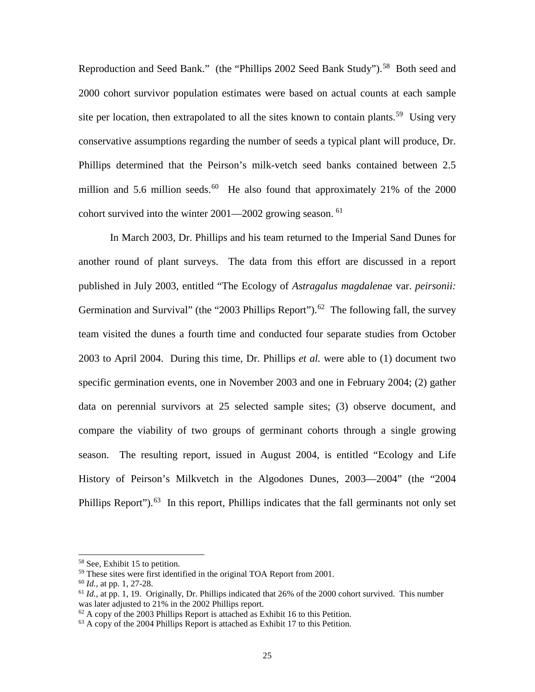Reproduction and Seed Bank." (the "Phillips 2002 Seed Bank Study").<sup>[58](#page-24-0)</sup> Both seed and 2000 cohort survivor population estimates were based on actual counts at each sample site per location, then extrapolated to all the sites known to contain plants.<sup>[59](#page-24-1)</sup> Using very conservative assumptions regarding the number of seeds a typical plant will produce, Dr. Phillips determined that the Peirson's milk-vetch seed banks contained between 2.5 million and 5.6 million seeds.<sup>[60](#page-24-2)</sup> He also found that approximately 21% of the 2000 cohort survived into the winter  $2001 - 2002$  growing season. <sup>[61](#page-24-3)</sup>

In March 2003, Dr. Phillips and his team returned to the Imperial Sand Dunes for another round of plant surveys. The data from this effort are discussed in a report published in July 2003, entitled "The Ecology of *Astragalus magdalenae* var. *peirsonii:*  Germination and Survival" (the "2003 Phillips Report").<sup>62</sup> The following fall, the survey team visited the dunes a fourth time and conducted four separate studies from October 2003 to April 2004. During this time, Dr. Phillips *et al.* were able to (1) document two specific germination events, one in November 2003 and one in February 2004; (2) gather data on perennial survivors at 25 selected sample sites; (3) observe document, and compare the viability of two groups of germinant cohorts through a single growing season. The resulting report, issued in August 2004, is entitled "Ecology and Life History of Peirson's Milkvetch in the Algodones Dunes, 2003—2004" (the "2004 Phillips Report").<sup>[63](#page-24-5)</sup> In this report, Phillips indicates that the fall germinants not only set

<span id="page-24-1"></span><span id="page-24-0"></span><sup>58</sup> See, Exhibit 15 to petition.

<sup>&</sup>lt;sup>59</sup> These sites were first identified in the original TOA Report from 2001.

<span id="page-24-2"></span><sup>60</sup> *Id.*, at pp. 1, 27-28.

<span id="page-24-3"></span><sup>&</sup>lt;sup>61</sup> *Id.*, at pp. 1, 19. Originally, Dr. Phillips indicated that 26% of the 2000 cohort survived. This number was later adjusted to 21% in the 2002 Phillips report.

<span id="page-24-4"></span> $62$  A copy of the 2003 Phillips Report is attached as Exhibit 16 to this Petition.

<span id="page-24-5"></span> $63$  A copy of the 2004 Phillips Report is attached as Exhibit 17 to this Petition.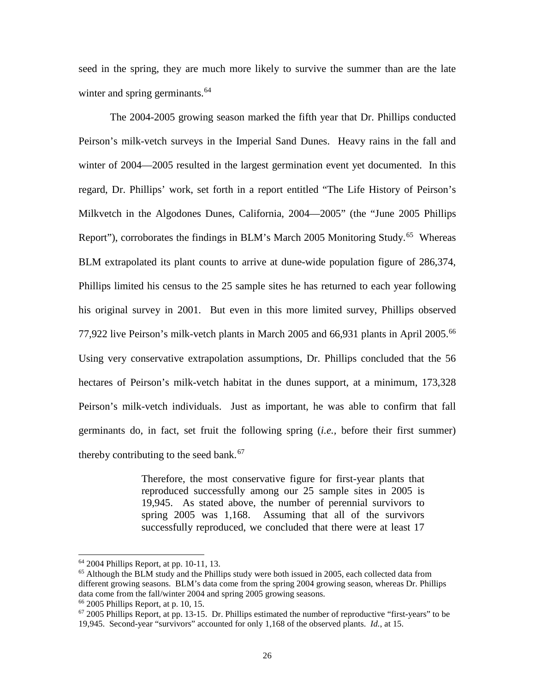seed in the spring, they are much more likely to survive the summer than are the late winter and spring germinants.<sup>[64](#page-25-0)</sup>

The 2004-2005 growing season marked the fifth year that Dr. Phillips conducted Peirson's milk-vetch surveys in the Imperial Sand Dunes. Heavy rains in the fall and winter of 2004—2005 resulted in the largest germination event yet documented. In this regard, Dr. Phillips' work, set forth in a report entitled "The Life History of Peirson's Milkvetch in the Algodones Dunes, California, 2004—2005" (the "June 2005 Phillips Report"), corroborates the findings in BLM's March 2005 Monitoring Study.<sup>[65](#page-25-1)</sup> Whereas BLM extrapolated its plant counts to arrive at dune-wide population figure of 286,374, Phillips limited his census to the 25 sample sites he has returned to each year following his original survey in 2001. But even in this more limited survey, Phillips observed 77,922 live Peirson's milk-vetch plants in March 2005 and 66,931 plants in April 2005.[66](#page-25-2) Using very conservative extrapolation assumptions, Dr. Phillips concluded that the 56 hectares of Peirson's milk-vetch habitat in the dunes support, at a minimum, 173,328 Peirson's milk-vetch individuals. Just as important, he was able to confirm that fall germinants do, in fact, set fruit the following spring (*i.e.,* before their first summer) thereby contributing to the seed bank. $67$ 

> Therefore, the most conservative figure for first-year plants that reproduced successfully among our 25 sample sites in 2005 is 19,945. As stated above, the number of perennial survivors to spring 2005 was 1,168. Assuming that all of the survivors successfully reproduced, we concluded that there were at least 17

<span id="page-25-0"></span><sup>64</sup> 2004 Phillips Report, at pp. 10-11, 13.

<span id="page-25-1"></span><sup>&</sup>lt;sup>65</sup> Although the BLM study and the Phillips study were both issued in 2005, each collected data from different growing seasons. BLM's data come from the spring 2004 growing season, whereas Dr. Phillips data come from the fall/winter 2004 and spring 2005 growing seasons.

<span id="page-25-3"></span><span id="page-25-2"></span><sup>66</sup> 2005 Phillips Report, at p. 10, 15.

 $67$  2005 Phillips Report, at pp. 13-15. Dr. Phillips estimated the number of reproductive "first-years" to be 19,945. Second-year "survivors" accounted for only 1,168 of the observed plants. *Id.*, at 15.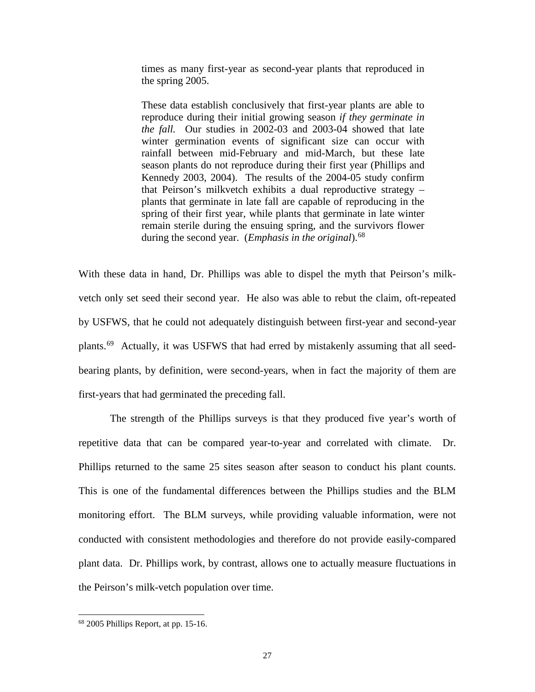times as many first-year as second-year plants that reproduced in the spring 2005.

These data establish conclusively that first-year plants are able to reproduce during their initial growing season *if they germinate in the fall.* Our studies in 2002-03 and 2003-04 showed that late winter germination events of significant size can occur with rainfall between mid-February and mid-March, but these late season plants do not reproduce during their first year (Phillips and Kennedy 2003, 2004). The results of the 2004-05 study confirm that Peirson's milkvetch exhibits a dual reproductive strategy – plants that germinate in late fall are capable of reproducing in the spring of their first year, while plants that germinate in late winter remain sterile during the ensuing spring, and the survivors flower during the second year. (*Emphasis in the original*).<sup>[68](#page-26-0)</sup>

With these data in hand, Dr. Phillips was able to dispel the myth that Peirson's milkvetch only set seed their second year. He also was able to rebut the claim, oft-repeated by USFWS, that he could not adequately distinguish between first-year and second-year plants.[69](#page-26-0) Actually, it was USFWS that had erred by mistakenly assuming that all seedbearing plants, by definition, were second-years, when in fact the majority of them are first-years that had germinated the preceding fall.

The strength of the Phillips surveys is that they produced five year's worth of repetitive data that can be compared year-to-year and correlated with climate. Dr. Phillips returned to the same 25 sites season after season to conduct his plant counts. This is one of the fundamental differences between the Phillips studies and the BLM monitoring effort. The BLM surveys, while providing valuable information, were not conducted with consistent methodologies and therefore do not provide easily-compared plant data. Dr. Phillips work, by contrast, allows one to actually measure fluctuations in the Peirson's milk-vetch population over time.

<span id="page-26-0"></span><sup>68</sup> 2005 Phillips Report, at pp. 15-16.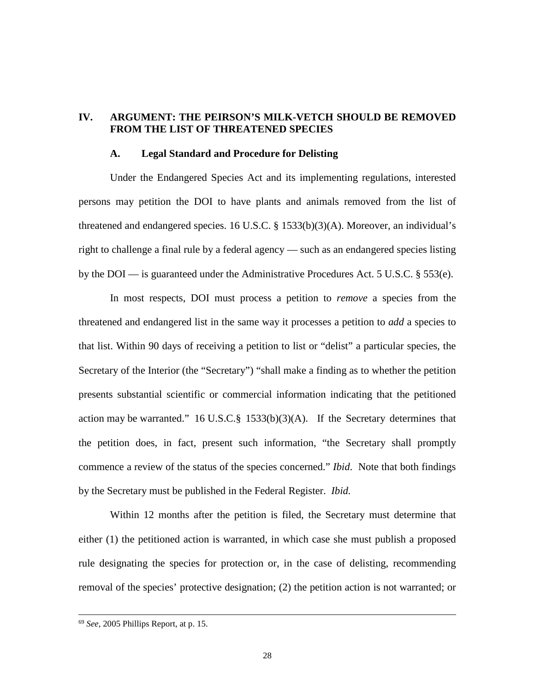## **IV. ARGUMENT: THE PEIRSON'S MILK-VETCH SHOULD BE REMOVED FROM THE LIST OF THREATENED SPECIES**

#### **A. Legal Standard and Procedure for Delisting**

Under the Endangered Species Act and its implementing regulations, interested persons may petition the DOI to have plants and animals removed from the list of threatened and endangered species. 16 U.S.C. § 1533(b)(3)(A). Moreover, an individual's right to challenge a final rule by a federal agency — such as an endangered species listing by the DOI — is guaranteed under the Administrative Procedures Act. 5 U.S.C. § 553(e).

In most respects, DOI must process a petition to *remove* a species from the threatened and endangered list in the same way it processes a petition to *add* a species to that list. Within 90 days of receiving a petition to list or "delist" a particular species, the Secretary of the Interior (the "Secretary") "shall make a finding as to whether the petition presents substantial scientific or commercial information indicating that the petitioned action may be warranted." 16 U.S.C.§ 1533(b)(3)(A). If the Secretary determines that the petition does, in fact, present such information, "the Secretary shall promptly commence a review of the status of the species concerned." *Ibid*. Note that both findings by the Secretary must be published in the Federal Register. *Ibid.*

Within 12 months after the petition is filed, the Secretary must determine that either (1) the petitioned action is warranted, in which case she must publish a proposed rule designating the species for protection or, in the case of delisting, recommending removal of the species' protective designation; (2) the petition action is not warranted; or

<sup>69</sup> *See,* 2005 Phillips Report, at p. 15.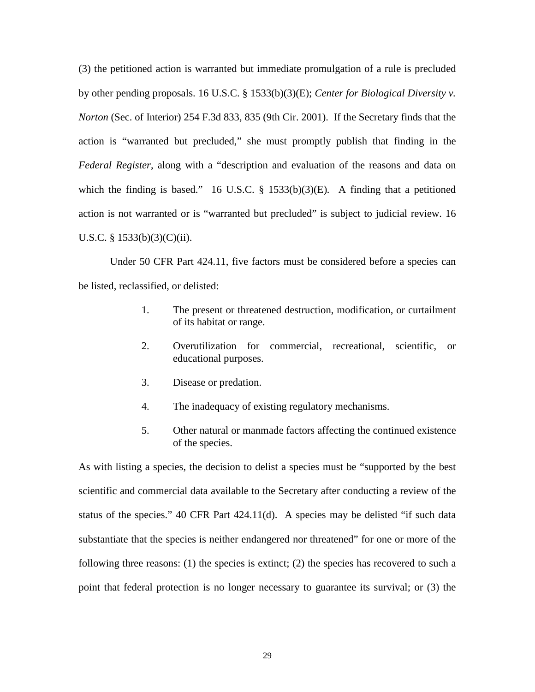(3) the petitioned action is warranted but immediate promulgation of a rule is precluded by other pending proposals. 16 U.S.C. § 1533(b)(3)(E); *Center for Biological Diversity v. Norton* (Sec. of Interior) 254 F.3d 833, 835 (9th Cir. 2001). If the Secretary finds that the action is "warranted but precluded," she must promptly publish that finding in the *Federal Register*, along with a "description and evaluation of the reasons and data on which the finding is based." 16 U.S.C. § 1533(b)(3)(E)*.* A finding that a petitioned action is not warranted or is "warranted but precluded" is subject to judicial review. 16 U.S.C. § 1533(b)(3)(C)(ii).

Under 50 CFR Part 424.11, five factors must be considered before a species can be listed, reclassified, or delisted:

- 1. The present or threatened destruction, modification, or curtailment of its habitat or range.
- 2. Overutilization for commercial, recreational, scientific, or educational purposes.
- 3. Disease or predation.
- 4. The inadequacy of existing regulatory mechanisms.
- 5. Other natural or manmade factors affecting the continued existence of the species.

As with listing a species, the decision to delist a species must be "supported by the best scientific and commercial data available to the Secretary after conducting a review of the status of the species." 40 CFR Part 424.11(d). A species may be delisted "if such data substantiate that the species is neither endangered nor threatened" for one or more of the following three reasons: (1) the species is extinct; (2) the species has recovered to such a point that federal protection is no longer necessary to guarantee its survival; or (3) the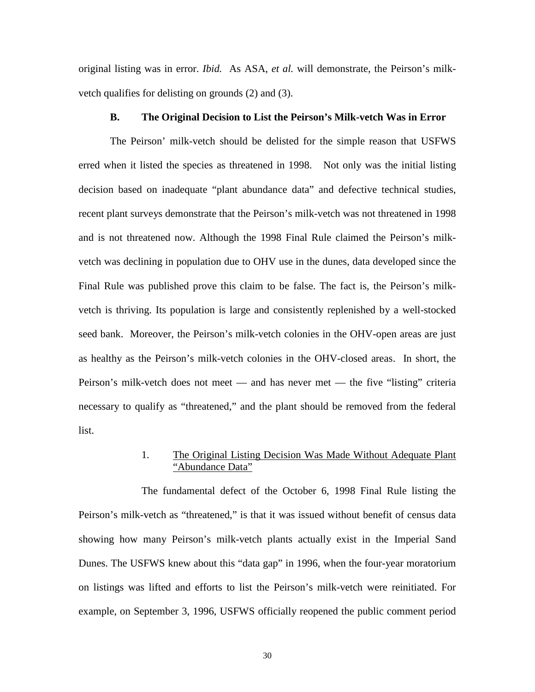original listing was in error. *Ibid.* As ASA, *et al.* will demonstrate, the Peirson's milkvetch qualifies for delisting on grounds (2) and (3).

#### **B. The Original Decision to List the Peirson's Milk-vetch Was in Error**

The Peirson' milk-vetch should be delisted for the simple reason that USFWS erred when it listed the species as threatened in 1998. Not only was the initial listing decision based on inadequate "plant abundance data" and defective technical studies, recent plant surveys demonstrate that the Peirson's milk-vetch was not threatened in 1998 and is not threatened now. Although the 1998 Final Rule claimed the Peirson's milkvetch was declining in population due to OHV use in the dunes, data developed since the Final Rule was published prove this claim to be false. The fact is, the Peirson's milkvetch is thriving. Its population is large and consistently replenished by a well-stocked seed bank. Moreover, the Peirson's milk-vetch colonies in the OHV-open areas are just as healthy as the Peirson's milk-vetch colonies in the OHV-closed areas. In short, the Peirson's milk-vetch does not meet — and has never met — the five "listing" criteria necessary to qualify as "threatened," and the plant should be removed from the federal list.

## 1. The Original Listing Decision Was Made Without Adequate Plant "Abundance Data"

The fundamental defect of the October 6, 1998 Final Rule listing the Peirson's milk-vetch as "threatened," is that it was issued without benefit of census data showing how many Peirson's milk-vetch plants actually exist in the Imperial Sand Dunes. The USFWS knew about this "data gap" in 1996, when the four-year moratorium on listings was lifted and efforts to list the Peirson's milk-vetch were reinitiated. For example, on September 3, 1996, USFWS officially reopened the public comment period

30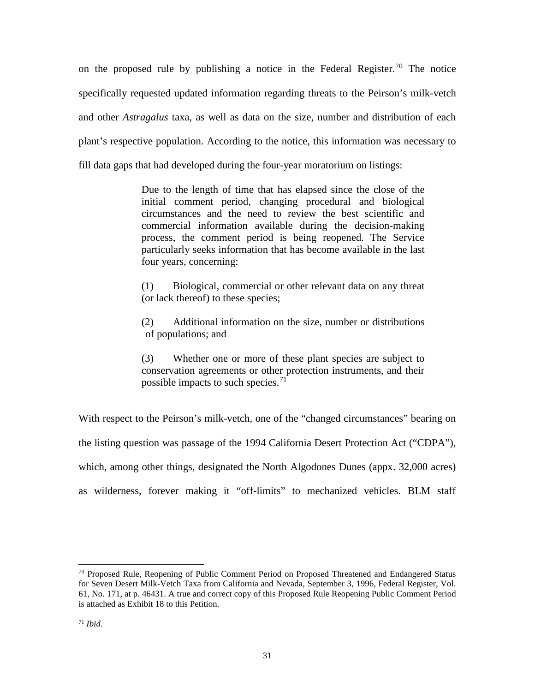on the proposed rule by publishing a notice in the Federal Register.<sup>[70](#page-30-0)</sup> The notice specifically requested updated information regarding threats to the Peirson's milk-vetch and other *Astragalus* taxa, as well as data on the size, number and distribution of each plant's respective population. According to the notice, this information was necessary to fill data gaps that had developed during the four-year moratorium on listings:

> Due to the length of time that has elapsed since the close of the initial comment period, changing procedural and biological circumstances and the need to review the best scientific and commercial information available during the decision-making process, the comment period is being reopened. The Service particularly seeks information that has become available in the last four years, concerning:

> (1) Biological, commercial or other relevant data on any threat (or lack thereof) to these species;

> (2) Additional information on the size, number or distributions of populations; and

> (3) Whether one or more of these plant species are subject to conservation agreements or other protection instruments, and their possible impacts to such species.<sup>[71](#page-30-1)</sup>

With respect to the Peirson's milk-vetch, one of the "changed circumstances" bearing on the listing question was passage of the 1994 California Desert Protection Act ("CDPA"), which, among other things, designated the North Algodones Dunes (appx. 32,000 acres) as wilderness, forever making it "off-limits" to mechanized vehicles. BLM staff

<span id="page-30-1"></span><span id="page-30-0"></span><sup>&</sup>lt;sup>70</sup> Proposed Rule, Reopening of Public Comment Period on Proposed Threatened and Endangered Status for Seven Desert Milk-Vetch Taxa from California and Nevada, September 3, 1996, Federal Register, Vol. 61, No. 171, at p. 46431. A true and correct copy of this Proposed Rule Reopening Public Comment Period is attached as Exhibit 18 to this Petition.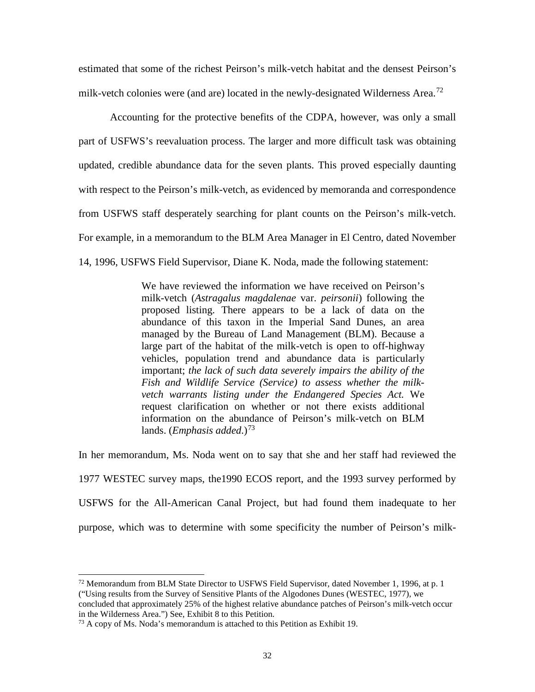estimated that some of the richest Peirson's milk-vetch habitat and the densest Peirson's milk-vetch colonies were (and are) located in the newly-designated Wilderness Area.<sup>[72](#page-31-0)</sup>

Accounting for the protective benefits of the CDPA, however, was only a small part of USFWS's reevaluation process. The larger and more difficult task was obtaining updated, credible abundance data for the seven plants. This proved especially daunting with respect to the Peirson's milk-vetch, as evidenced by memoranda and correspondence from USFWS staff desperately searching for plant counts on the Peirson's milk-vetch. For example, in a memorandum to the BLM Area Manager in El Centro, dated November 14, 1996, USFWS Field Supervisor, Diane K. Noda, made the following statement:

> We have reviewed the information we have received on Peirson's milk-vetch (*Astragalus magdalenae* var. *peirsonii*) following the proposed listing. There appears to be a lack of data on the abundance of this taxon in the Imperial Sand Dunes, an area managed by the Bureau of Land Management (BLM). Because a large part of the habitat of the milk-vetch is open to off-highway vehicles, population trend and abundance data is particularly important; *the lack of such data severely impairs the ability of the Fish and Wildlife Service (Service) to assess whether the milkvetch warrants listing under the Endangered Species Act.* We request clarification on whether or not there exists additional information on the abundance of Peirson's milk-vetch on BLM lands. (*Emphasis added*.)<sup>[73](#page-31-1)</sup>

In her memorandum, Ms. Noda went on to say that she and her staff had reviewed the 1977 WESTEC survey maps, the1990 ECOS report, and the 1993 survey performed by USFWS for the All-American Canal Project, but had found them inadequate to her purpose, which was to determine with some specificity the number of Peirson's milk-

<span id="page-31-0"></span> $^{72}$  Memorandum from BLM State Director to USFWS Field Supervisor, dated November 1, 1996, at p. 1 ("Using results from the Survey of Sensitive Plants of the Algodones Dunes (WESTEC, 1977), we concluded that approximately 25% of the highest relative abundance patches of Peirson's milk-vetch occur in the Wilderness Area.") See, Exhibit 8 to this Petition.

<span id="page-31-1"></span> $73$  A copy of Ms. Noda's memorandum is attached to this Petition as Exhibit 19.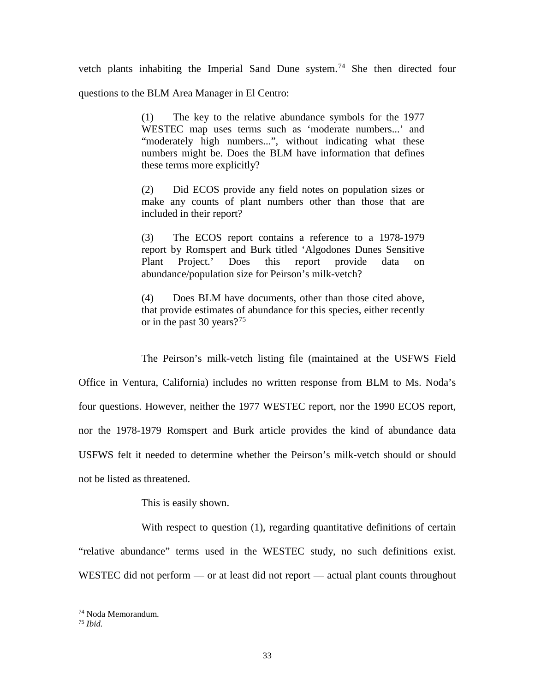vetch plants inhabiting the Imperial Sand Dune system.<sup>[74](#page-32-0)</sup> She then directed four questions to the BLM Area Manager in El Centro:

> (1) The key to the relative abundance symbols for the 1977 WESTEC map uses terms such as 'moderate numbers...' and "moderately high numbers...", without indicating what these numbers might be. Does the BLM have information that defines these terms more explicitly?

> (2) Did ECOS provide any field notes on population sizes or make any counts of plant numbers other than those that are included in their report?

> (3) The ECOS report contains a reference to a 1978-1979 report by Romspert and Burk titled 'Algodones Dunes Sensitive Plant Project.' Does this report provide data on abundance/population size for Peirson's milk-vetch?

> (4) Does BLM have documents, other than those cited above, that provide estimates of abundance for this species, either recently or in the past 30 years?<sup>[75](#page-32-1)</sup>

The Peirson's milk-vetch listing file (maintained at the USFWS Field Office in Ventura, California) includes no written response from BLM to Ms. Noda's four questions. However, neither the 1977 WESTEC report, nor the 1990 ECOS report, nor the 1978-1979 Romspert and Burk article provides the kind of abundance data USFWS felt it needed to determine whether the Peirson's milk-vetch should or should not be listed as threatened.

This is easily shown.

With respect to question (1), regarding quantitative definitions of certain "relative abundance" terms used in the WESTEC study, no such definitions exist. WESTEC did not perform — or at least did not report — actual plant counts throughout

<span id="page-32-1"></span><span id="page-32-0"></span><sup>74</sup> Noda Memorandum.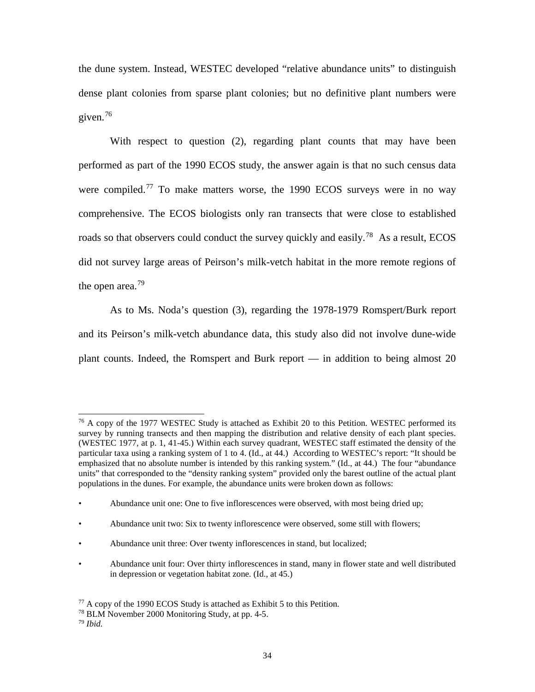the dune system. Instead, WESTEC developed "relative abundance units" to distinguish dense plant colonies from sparse plant colonies; but no definitive plant numbers were given.[76](#page-33-0)

With respect to question (2), regarding plant counts that may have been performed as part of the 1990 ECOS study, the answer again is that no such census data were compiled.<sup>[77](#page-33-1)</sup> To make matters worse, the 1990 ECOS surveys were in no way comprehensive. The ECOS biologists only ran transects that were close to established roads so that observers could conduct the survey quickly and easily.<sup>[78](#page-33-2)</sup> As a result, ECOS did not survey large areas of Peirson's milk-vetch habitat in the more remote regions of the open area. $79$ 

As to Ms. Noda's question (3), regarding the 1978-1979 Romspert/Burk report and its Peirson's milk-vetch abundance data, this study also did not involve dune-wide plant counts. Indeed, the Romspert and Burk report — in addition to being almost 20

<span id="page-33-0"></span><sup>&</sup>lt;sup>76</sup> A copy of the 1977 WESTEC Study is attached as Exhibit 20 to this Petition. WESTEC performed its survey by running transects and then mapping the distribution and relative density of each plant species. (WESTEC 1977, at p. 1, 41-45.) Within each survey quadrant, WESTEC staff estimated the density of the particular taxa using a ranking system of 1 to 4. (Id., at 44.) According to WESTEC's report: "It should be emphasized that no absolute number is intended by this ranking system." (Id., at 44.) The four "abundance units" that corresponded to the "density ranking system" provided only the barest outline of the actual plant populations in the dunes. For example, the abundance units were broken down as follows:  $\overline{a}$ 

<sup>•</sup> Abundance unit one: One to five inflorescences were observed, with most being dried up;

<sup>•</sup> Abundance unit two: Six to twenty inflorescence were observed, some still with flowers;

<sup>•</sup> Abundance unit three: Over twenty inflorescences in stand, but localized;

<sup>•</sup> Abundance unit four: Over thirty inflorescences in stand, many in flower state and well distributed in depression or vegetation habitat zone. (Id., at 45.)

<span id="page-33-1"></span> $77$  A copy of the 1990 ECOS Study is attached as Exhibit 5 to this Petition.

<span id="page-33-3"></span><span id="page-33-2"></span><sup>78</sup> BLM November 2000 Monitoring Study, at pp. 4-5. 79 *Ibid.*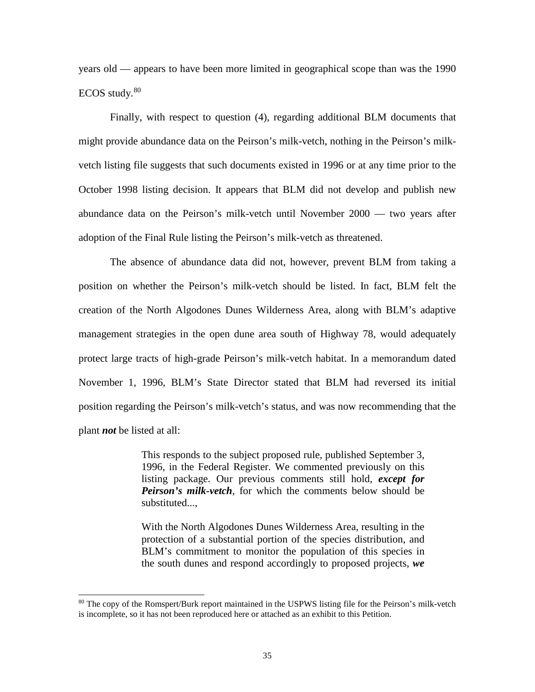years old — appears to have been more limited in geographical scope than was the 1990  $ECOS$  study.  $80$ 

Finally, with respect to question (4), regarding additional BLM documents that might provide abundance data on the Peirson's milk-vetch, nothing in the Peirson's milkvetch listing file suggests that such documents existed in 1996 or at any time prior to the October 1998 listing decision. It appears that BLM did not develop and publish new abundance data on the Peirson's milk-vetch until November 2000 — two years after adoption of the Final Rule listing the Peirson's milk-vetch as threatened.

The absence of abundance data did not, however, prevent BLM from taking a position on whether the Peirson's milk-vetch should be listed. In fact, BLM felt the creation of the North Algodones Dunes Wilderness Area, along with BLM's adaptive management strategies in the open dune area south of Highway 78, would adequately protect large tracts of high-grade Peirson's milk-vetch habitat. In a memorandum dated November 1, 1996, BLM's State Director stated that BLM had reversed its initial position regarding the Peirson's milk-vetch's status, and was now recommending that the plant *not* be listed at all:

> This responds to the subject proposed rule, published September 3, 1996, in the Federal Register. We commented previously on this listing package. Our previous comments still hold, *except for Peirson's milk-vetch*, for which the comments below should be substituted...,

> With the North Algodones Dunes Wilderness Area, resulting in the protection of a substantial portion of the species distribution, and BLM's commitment to monitor the population of this species in the south dunes and respond accordingly to proposed projects, *we*

<span id="page-34-0"></span><sup>&</sup>lt;sup>80</sup> The copy of the Romspert/Burk report maintained in the USPWS listing file for the Peirson's milk-vetch is incomplete, so it has not been reproduced here or attached as an exhibit to this Petition.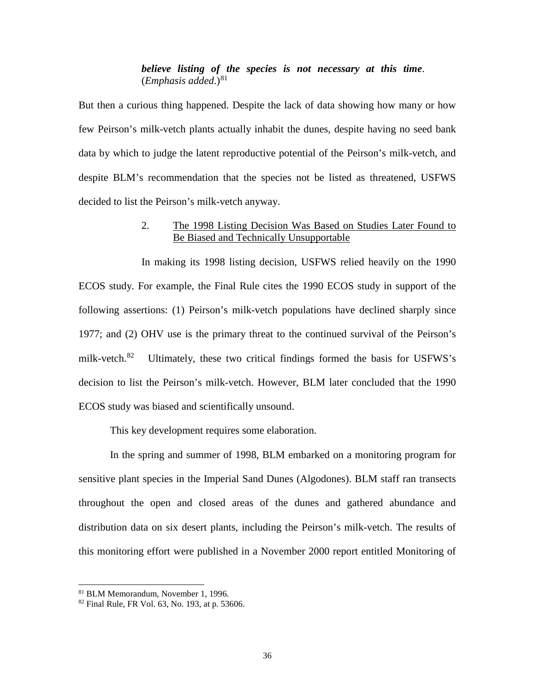## *believe listing of the species is not necessary at this time*.  $(Emphasis added.)<sup>81</sup>$  $(Emphasis added.)<sup>81</sup>$  $(Emphasis added.)<sup>81</sup>$

But then a curious thing happened. Despite the lack of data showing how many or how few Peirson's milk-vetch plants actually inhabit the dunes, despite having no seed bank data by which to judge the latent reproductive potential of the Peirson's milk-vetch, and despite BLM's recommendation that the species not be listed as threatened, USFWS decided to list the Peirson's milk-vetch anyway.

## 2. The 1998 Listing Decision Was Based on Studies Later Found to Be Biased and Technically Unsupportable

In making its 1998 listing decision, USFWS relied heavily on the 1990 ECOS study. For example, the Final Rule cites the 1990 ECOS study in support of the following assertions: (1) Peirson's milk-vetch populations have declined sharply since 1977; and (2) OHV use is the primary threat to the continued survival of the Peirson's milk-vetch.<sup>82</sup> Ultimately, these two critical findings formed the basis for USFWS's decision to list the Peirson's milk-vetch. However, BLM later concluded that the 1990 ECOS study was biased and scientifically unsound.

This key development requires some elaboration.

In the spring and summer of 1998, BLM embarked on a monitoring program for sensitive plant species in the Imperial Sand Dunes (Algodones). BLM staff ran transects throughout the open and closed areas of the dunes and gathered abundance and distribution data on six desert plants, including the Peirson's milk-vetch. The results of this monitoring effort were published in a November 2000 report entitled Monitoring of

<span id="page-35-0"></span><sup>&</sup>lt;sup>81</sup> BLM Memorandum, November 1, 1996.

<span id="page-35-1"></span> $82$  Final Rule, FR Vol. 63, No. 193, at p. 53606.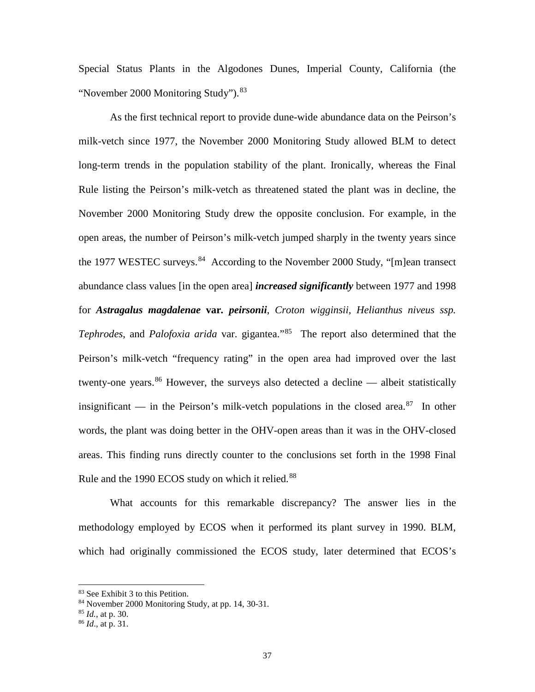Special Status Plants in the Algodones Dunes, Imperial County, California (the "November 2000 Monitoring Study").<sup>[83](#page-36-0)</sup>

As the first technical report to provide dune-wide abundance data on the Peirson's milk-vetch since 1977, the November 2000 Monitoring Study allowed BLM to detect long-term trends in the population stability of the plant. Ironically, whereas the Final Rule listing the Peirson's milk-vetch as threatened stated the plant was in decline, the November 2000 Monitoring Study drew the opposite conclusion. For example, in the open areas, the number of Peirson's milk-vetch jumped sharply in the twenty years since the 1977 WESTEC surveys.  $84$  According to the November 2000 Study, "[m]ean transect abundance class values [in the open area] *increased significantly* between 1977 and 1998 for *Astragalus magdalenae* **var***. peirsonii*, *Croton wigginsii, Helianthus niveus ssp. Tephrodes*, and *Palofoxia arida* var. gigantea."[85](#page-36-2) The report also determined that the Peirson's milk-vetch "frequency rating" in the open area had improved over the last twenty-one years.<sup>[86](#page-36-3)</sup> However, the surveys also detected a decline — albeit statistically insignificant — in the Peirson's milk-vetch populations in the closed area.<sup>[87](#page-36-1)</sup> In other words, the plant was doing better in the OHV-open areas than it was in the OHV-closed areas. This finding runs directly counter to the conclusions set forth in the 1998 Final Rule and the 1990 ECOS study on which it relied.<sup>[88](#page-36-2)</sup>

What accounts for this remarkable discrepancy? The answer lies in the methodology employed by ECOS when it performed its plant survey in 1990. BLM, which had originally commissioned the ECOS study, later determined that ECOS's

<span id="page-36-0"></span><sup>&</sup>lt;sup>83</sup> See Exhibit 3 to this Petition.

<span id="page-36-1"></span><sup>84</sup> November 2000 Monitoring Study, at pp. 14, 30-31.

<span id="page-36-2"></span><sup>85</sup> *Id.*, at p. 30.

<span id="page-36-3"></span><sup>86</sup> *Id*., at p. 31.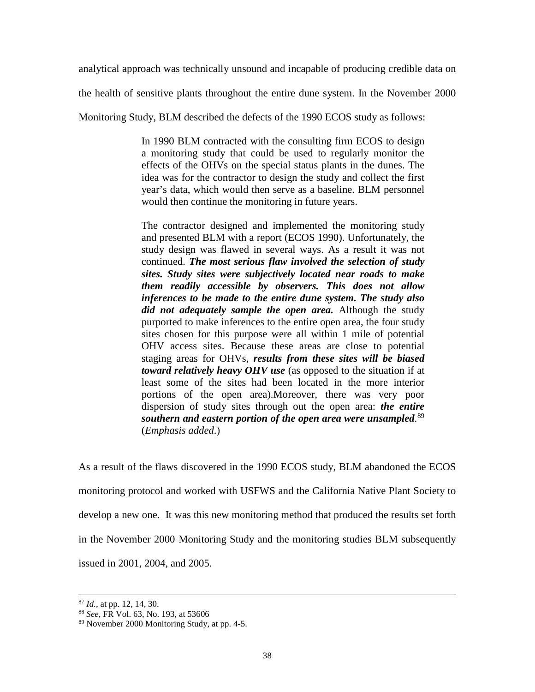analytical approach was technically unsound and incapable of producing credible data on

the health of sensitive plants throughout the entire dune system. In the November 2000

Monitoring Study, BLM described the defects of the 1990 ECOS study as follows:

In 1990 BLM contracted with the consulting firm ECOS to design a monitoring study that could be used to regularly monitor the effects of the OHVs on the special status plants in the dunes. The idea was for the contractor to design the study and collect the first year's data, which would then serve as a baseline. BLM personnel would then continue the monitoring in future years.

The contractor designed and implemented the monitoring study and presented BLM with a report (ECOS 1990). Unfortunately, the study design was flawed in several ways. As a result it was not continued. *The most serious flaw involved the selection of study sites. Study sites were subjectively located near roads to make them readily accessible by observers. This does not allow inferences to be made to the entire dune system. The study also did not adequately sample the open area.* Although the study purported to make inferences to the entire open area, the four study sites chosen for this purpose were all within 1 mile of potential OHV access sites. Because these areas are close to potential staging areas for OHVs, *results from these sites will be biased toward relatively heavy OHV use* (as opposed to the situation if at least some of the sites had been located in the more interior portions of the open area).Moreover, there was very poor dispersion of study sites through out the open area: *the entire southern and eastern portion of the open area were unsampled*. [89](#page-37-0) (*Emphasis added*.)

As a result of the flaws discovered in the 1990 ECOS study, BLM abandoned the ECOS monitoring protocol and worked with USFWS and the California Native Plant Society to develop a new one. It was this new monitoring method that produced the results set forth in the November 2000 Monitoring Study and the monitoring studies BLM subsequently issued in 2001, 2004, and 2005.

<sup>87</sup> *Id.*, at pp. 12, 14, 30.

<sup>88</sup> *See,* FR Vol. 63, No. 193, at 53606

<span id="page-37-0"></span><sup>89</sup> November 2000 Monitoring Study, at pp. 4-5.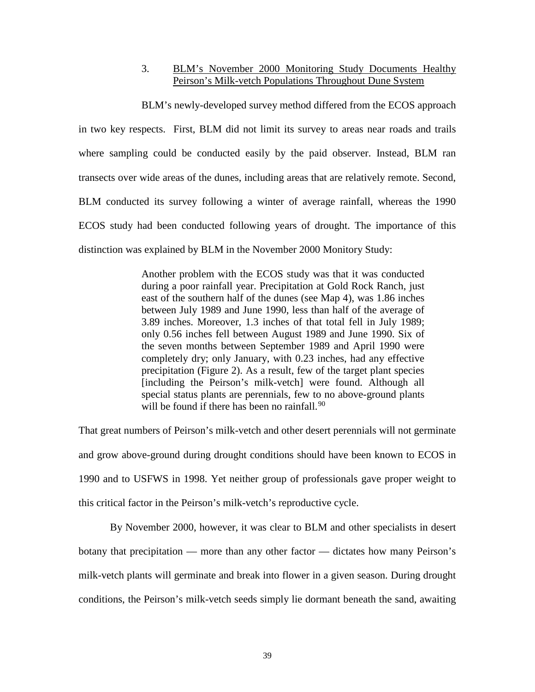## 3. BLM's November 2000 Monitoring Study Documents Healthy Peirson's Milk-vetch Populations Throughout Dune System

BLM's newly-developed survey method differed from the ECOS approach in two key respects. First, BLM did not limit its survey to areas near roads and trails where sampling could be conducted easily by the paid observer. Instead, BLM ran transects over wide areas of the dunes, including areas that are relatively remote. Second, BLM conducted its survey following a winter of average rainfall, whereas the 1990 ECOS study had been conducted following years of drought. The importance of this distinction was explained by BLM in the November 2000 Monitory Study:

> Another problem with the ECOS study was that it was conducted during a poor rainfall year. Precipitation at Gold Rock Ranch, just east of the southern half of the dunes (see Map 4), was 1.86 inches between July 1989 and June 1990, less than half of the average of 3.89 inches. Moreover, 1.3 inches of that total fell in July 1989; only 0.56 inches fell between August 1989 and June 1990. Six of the seven months between September 1989 and April 1990 were completely dry; only January, with 0.23 inches, had any effective precipitation (Figure 2). As a result, few of the target plant species [including the Peirson's milk-vetch] were found. Although all special status plants are perennials, few to no above-ground plants will be found if there has been no rainfall.<sup>[90](#page-38-0)</sup>

That great numbers of Peirson's milk-vetch and other desert perennials will not germinate and grow above-ground during drought conditions should have been known to ECOS in 1990 and to USFWS in 1998. Yet neither group of professionals gave proper weight to this critical factor in the Peirson's milk-vetch's reproductive cycle.

<span id="page-38-0"></span>By November 2000, however, it was clear to BLM and other specialists in desert botany that precipitation — more than any other factor — dictates how many Peirson's milk-vetch plants will germinate and break into flower in a given season. During drought conditions, the Peirson's milk-vetch seeds simply lie dormant beneath the sand, awaiting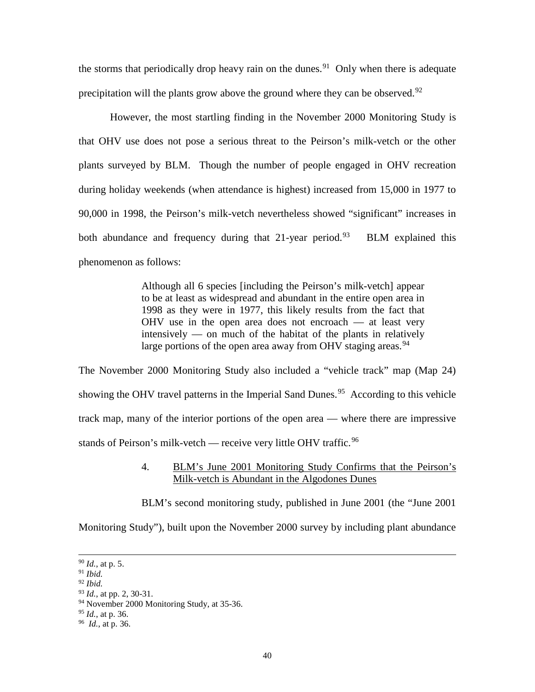the storms that periodically drop heavy rain on the dunes.<sup>91</sup> Only when there is adequate precipitation will the plants grow above the ground where they can be observed.<sup>[92](#page-39-1)</sup>

However, the most startling finding in the November 2000 Monitoring Study is that OHV use does not pose a serious threat to the Peirson's milk-vetch or the other plants surveyed by BLM. Though the number of people engaged in OHV recreation during holiday weekends (when attendance is highest) increased from 15,000 in 1977 to 90,000 in 1998, the Peirson's milk-vetch nevertheless showed "significant" increases in both abundance and frequency during that 21-year period.<sup>93</sup> BLM explained this phenomenon as follows:

> Although all 6 species [including the Peirson's milk-vetch] appear to be at least as widespread and abundant in the entire open area in 1998 as they were in 1977, this likely results from the fact that OHV use in the open area does not encroach — at least very intensively — on much of the habitat of the plants in relatively large portions of the open area away from OHV staging areas.<sup>[94](#page-39-3)</sup>

The November 2000 Monitoring Study also included a "vehicle track" map (Map 24) showing the OHV travel patterns in the Imperial Sand Dunes.<sup>[95](#page-39-4)</sup> According to this vehicle track map, many of the interior portions of the open area — where there are impressive stands of Peirson's milk-vetch — receive very little OHV traffic.<sup>[96](#page-39-5)</sup>

## 4. BLM's June 2001 Monitoring Study Confirms that the Peirson's Milk-vetch is Abundant in the Algodones Dunes

BLM's second monitoring study, published in June 2001 (the "June 2001

Monitoring Study"), built upon the November 2000 survey by including plant abundance

<sup>90</sup> *Id.*, at p. 5.

<span id="page-39-0"></span><sup>91</sup> *Ibid.*

<span id="page-39-1"></span><sup>92</sup> *Ibid.*

<span id="page-39-2"></span><sup>93</sup> *Id.*, at pp. 2, 30-31.

<span id="page-39-3"></span><sup>94</sup> November 2000 Monitoring Study, at 35-36.

<span id="page-39-4"></span><sup>95</sup> *Id.*, at p. 36.

<span id="page-39-5"></span><sup>96</sup> *Id.*, at p. 36.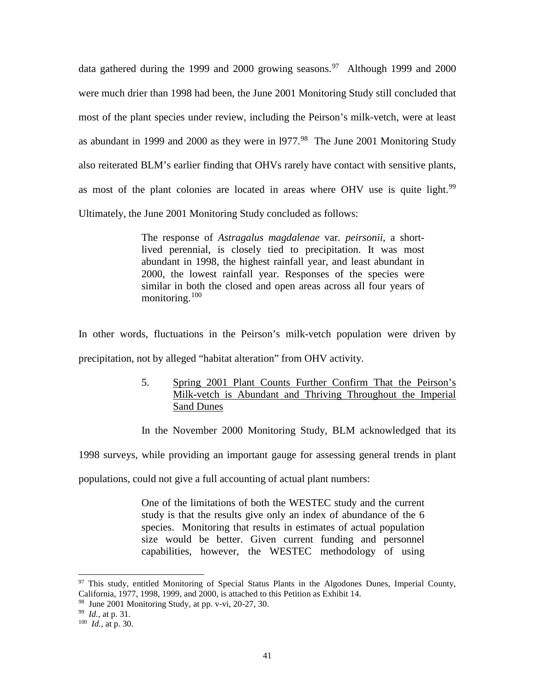data gathered during the 1999 and 2000 growing seasons.<sup>[97](#page-40-0)</sup> Although 1999 and 2000 were much drier than 1998 had been, the June 2001 Monitoring Study still concluded that most of the plant species under review, including the Peirson's milk-vetch, were at least as abundant in 1999 and 2000 as they were in  $1977<sup>98</sup>$  $1977<sup>98</sup>$  $1977<sup>98</sup>$  The June 2001 Monitoring Study also reiterated BLM's earlier finding that OHVs rarely have contact with sensitive plants, as most of the plant colonies are located in areas where OHV use is quite light.<sup>[99](#page-40-2)</sup> Ultimately, the June 2001 Monitoring Study concluded as follows:

> The response of *Astragalus magdalenae* var*. peirsonii*, a shortlived perennial, is closely tied to precipitation. It was most abundant in 1998, the highest rainfall year, and least abundant in 2000, the lowest rainfall year. Responses of the species were similar in both the closed and open areas across all four years of monitoring.[100](#page-40-3)

In other words, fluctuations in the Peirson's milk-vetch population were driven by precipitation, not by alleged "habitat alteration" from OHV activity.

> 5. Spring 2001 Plant Counts Further Confirm That the Peirson's Milk-vetch is Abundant and Thriving Throughout the Imperial Sand Dunes

> In the November 2000 Monitoring Study, BLM acknowledged that its

1998 surveys, while providing an important gauge for assessing general trends in plant

populations, could not give a full accounting of actual plant numbers:

One of the limitations of both the WESTEC study and the current study is that the results give only an index of abundance of the 6 species. Monitoring that results in estimates of actual population size would be better. Given current funding and personnel capabilities, however, the WESTEC methodology of using

<span id="page-40-0"></span> $97$  This study, entitled Monitoring of Special Status Plants in the Algodones Dunes, Imperial County, California, 1977, 1998, 1999, and 2000, is attached to this Petition as Exhibit 14.

<span id="page-40-1"></span> $98$  June 2001 Monitoring Study, at pp. v-vi, 20-27, 30.

<span id="page-40-2"></span><sup>99</sup> *Id.*, at p. 31.

<span id="page-40-3"></span><sup>100</sup> *Id.*, at p. 30.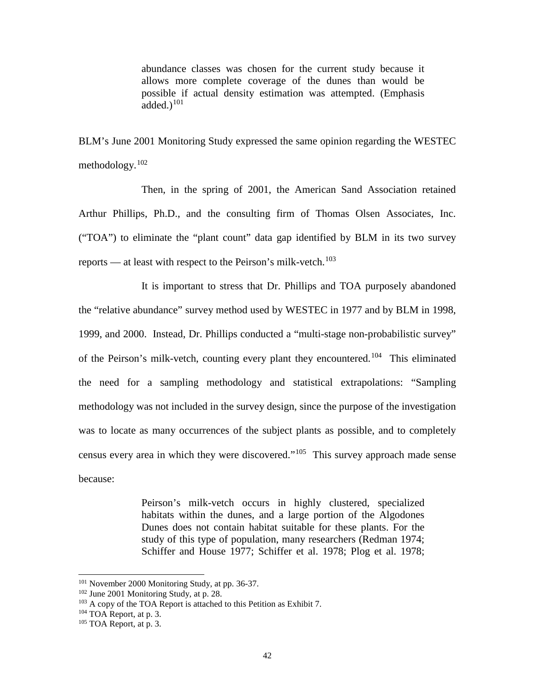abundance classes was chosen for the current study because it allows more complete coverage of the dunes than would be possible if actual density estimation was attempted. (Emphasis added.) $101$ 

BLM's June 2001 Monitoring Study expressed the same opinion regarding the WESTEC methodology.[102](#page-41-1)

Then, in the spring of 2001, the American Sand Association retained Arthur Phillips, Ph.D., and the consulting firm of Thomas Olsen Associates, Inc. ("TOA") to eliminate the "plant count" data gap identified by BLM in its two survey reports — at least with respect to the Peirson's milk-vetch.<sup>[103](#page-41-2)</sup>

It is important to stress that Dr. Phillips and TOA purposely abandoned the "relative abundance" survey method used by WESTEC in 1977 and by BLM in 1998, 1999, and 2000. Instead, Dr. Phillips conducted a "multi-stage non-probabilistic survey" of the Peirson's milk-vetch, counting every plant they encountered.[104](#page-41-3) This eliminated the need for a sampling methodology and statistical extrapolations: "Sampling methodology was not included in the survey design, since the purpose of the investigation was to locate as many occurrences of the subject plants as possible, and to completely census every area in which they were discovered."[105](#page-41-4) This survey approach made sense because:

> Peirson's milk-vetch occurs in highly clustered, specialized habitats within the dunes, and a large portion of the Algodones Dunes does not contain habitat suitable for these plants. For the study of this type of population, many researchers (Redman 1974; Schiffer and House 1977; Schiffer et al. 1978; Plog et al. 1978;

<span id="page-41-0"></span><sup>&</sup>lt;sup>101</sup> November 2000 Monitoring Study, at pp. 36-37.

<span id="page-41-1"></span><sup>102</sup> June 2001 Monitoring Study, at p. 28.

<span id="page-41-2"></span><sup>&</sup>lt;sup>103</sup> A copy of the TOA Report is attached to this Petition as Exhibit 7.

<span id="page-41-3"></span> $104$  TOA Report, at p. 3.

<span id="page-41-4"></span><sup>105</sup> TOA Report, at p. 3.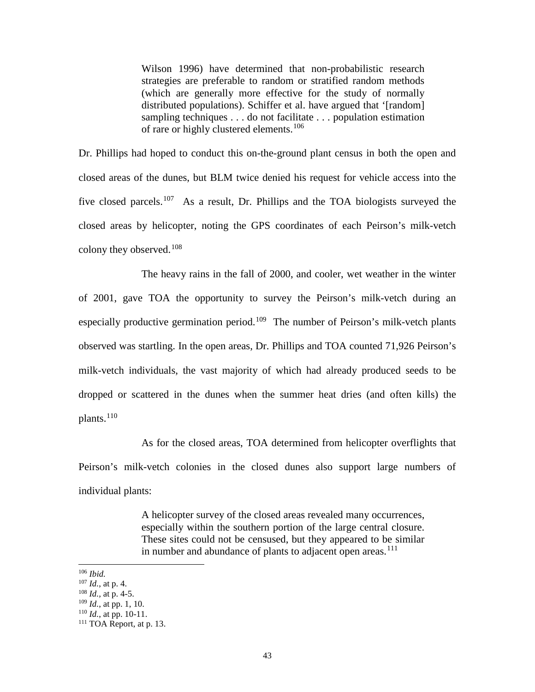Wilson 1996) have determined that non-probabilistic research strategies are preferable to random or stratified random methods (which are generally more effective for the study of normally distributed populations). Schiffer et al. have argued that '[random] sampling techniques . . . do not facilitate . . . population estimation of rare or highly clustered elements.<sup>[106](#page-42-0)</sup>

Dr. Phillips had hoped to conduct this on-the-ground plant census in both the open and closed areas of the dunes, but BLM twice denied his request for vehicle access into the five closed parcels.<sup>[107](#page-42-1)</sup> As a result, Dr. Phillips and the TOA biologists surveyed the closed areas by helicopter, noting the GPS coordinates of each Peirson's milk-vetch colony they observed.[108](#page-42-2)

The heavy rains in the fall of 2000, and cooler, wet weather in the winter of 2001, gave TOA the opportunity to survey the Peirson's milk-vetch during an especially productive germination period.<sup>[109](#page-42-3)</sup> The number of Peirson's milk-vetch plants observed was startling. In the open areas, Dr. Phillips and TOA counted 71,926 Peirson's milk-vetch individuals, the vast majority of which had already produced seeds to be dropped or scattered in the dunes when the summer heat dries (and often kills) the plants.<sup>[110](#page-42-4)</sup>

As for the closed areas, TOA determined from helicopter overflights that Peirson's milk-vetch colonies in the closed dunes also support large numbers of individual plants:

> A helicopter survey of the closed areas revealed many occurrences, especially within the southern portion of the large central closure. These sites could not be censused, but they appeared to be similar in number and abundance of plants to adjacent open areas.<sup>[111](#page-42-5)</sup>

<span id="page-42-0"></span><sup>106</sup> *Ibid.*

<sup>107</sup> *Id.*, at p. 4.

<span id="page-42-2"></span><span id="page-42-1"></span><sup>108</sup> *Id.,* at p. 4-5.

<span id="page-42-4"></span><span id="page-42-3"></span><sup>109</sup> *Id.*, at pp. 1, 10.

 $110$  *Id.*, at pp. 10-11.

<span id="page-42-5"></span><sup>111</sup> TOA Report, at p. 13.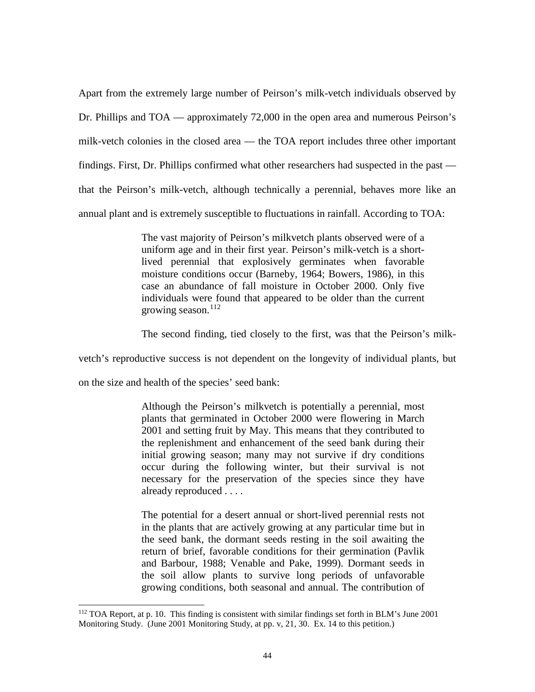Apart from the extremely large number of Peirson's milk-vetch individuals observed by Dr. Phillips and TOA — approximately 72,000 in the open area and numerous Peirson's milk-vetch colonies in the closed area — the TOA report includes three other important findings. First, Dr. Phillips confirmed what other researchers had suspected in the past that the Peirson's milk-vetch, although technically a perennial, behaves more like an annual plant and is extremely susceptible to fluctuations in rainfall. According to TOA:

> The vast majority of Peirson's milkvetch plants observed were of a uniform age and in their first year. Peirson's milk-vetch is a shortlived perennial that explosively germinates when favorable moisture conditions occur (Barneby, 1964; Bowers, 1986), in this case an abundance of fall moisture in October 2000. Only five individuals were found that appeared to be older than the current growing season. $112$

The second finding, tied closely to the first, was that the Peirson's milk-

vetch's reproductive success is not dependent on the longevity of individual plants, but

on the size and health of the species' seed bank:

 $\overline{a}$ 

Although the Peirson's milkvetch is potentially a perennial, most plants that germinated in October 2000 were flowering in March 2001 and setting fruit by May. This means that they contributed to the replenishment and enhancement of the seed bank during their initial growing season; many may not survive if dry conditions occur during the following winter, but their survival is not necessary for the preservation of the species since they have already reproduced . . . .

The potential for a desert annual or short-lived perennial rests not in the plants that are actively growing at any particular time but in the seed bank, the dormant seeds resting in the soil awaiting the return of brief, favorable conditions for their germination (Pavlik and Barbour, 1988; Venable and Pake, 1999). Dormant seeds in the soil allow plants to survive long periods of unfavorable growing conditions, both seasonal and annual. The contribution of

<span id="page-43-0"></span><sup>112</sup> TOA Report, at p. 10. This finding is consistent with similar findings set forth in BLM's June 2001 Monitoring Study. (June 2001 Monitoring Study, at pp. v, 21, 30. Ex. 14 to this petition.)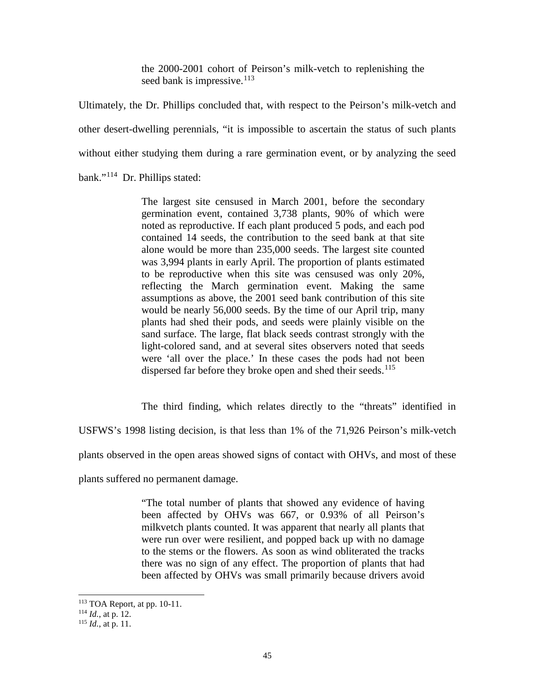the 2000-2001 cohort of Peirson's milk-vetch to replenishing the seed bank is impressive.  $113$ 

Ultimately, the Dr. Phillips concluded that, with respect to the Peirson's milk-vetch and other desert-dwelling perennials, "it is impossible to ascertain the status of such plants without either studying them during a rare germination event, or by analyzing the seed bank."[114](#page-44-1) Dr. Phillips stated:

> The largest site censused in March 2001, before the secondary germination event, contained 3,738 plants, 90% of which were noted as reproductive. If each plant produced 5 pods, and each pod contained 14 seeds, the contribution to the seed bank at that site alone would be more than 235,000 seeds. The largest site counted was 3,994 plants in early April. The proportion of plants estimated to be reproductive when this site was censused was only 20%, reflecting the March germination event. Making the same assumptions as above, the 2001 seed bank contribution of this site would be nearly 56,000 seeds. By the time of our April trip, many plants had shed their pods, and seeds were plainly visible on the sand surface. The large, flat black seeds contrast strongly with the light-colored sand, and at several sites observers noted that seeds were 'all over the place.' In these cases the pods had not been dispersed far before they broke open and shed their seeds.<sup>[115](#page-44-2)</sup>

The third finding, which relates directly to the "threats" identified in

USFWS's 1998 listing decision, is that less than 1% of the 71,926 Peirson's milk-vetch

plants observed in the open areas showed signs of contact with OHVs, and most of these

plants suffered no permanent damage.

"The total number of plants that showed any evidence of having been affected by OHVs was 667, or 0.93% of all Peirson's milkvetch plants counted. It was apparent that nearly all plants that were run over were resilient, and popped back up with no damage to the stems or the flowers. As soon as wind obliterated the tracks there was no sign of any effect. The proportion of plants that had been affected by OHVs was small primarily because drivers avoid

<sup>&</sup>lt;sup>113</sup> TOA Report, at pp. 10-11.

<span id="page-44-1"></span><span id="page-44-0"></span><sup>114</sup> *Id.*, at p. 12.

<span id="page-44-2"></span><sup>115</sup> *Id.*, at p. 11.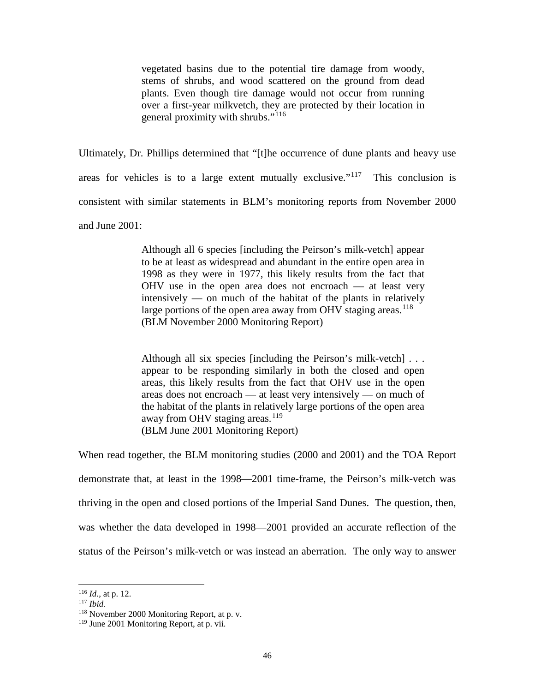vegetated basins due to the potential tire damage from woody, stems of shrubs, and wood scattered on the ground from dead plants. Even though tire damage would not occur from running over a first-year milkvetch, they are protected by their location in general proximity with shrubs."[116](#page-45-0)

Ultimately, Dr. Phillips determined that "[t]he occurrence of dune plants and heavy use areas for vehicles is to a large extent mutually exclusive."<sup>[117](#page-45-1)</sup> This conclusion is consistent with similar statements in BLM's monitoring reports from November 2000 and June 2001:

> Although all 6 species [including the Peirson's milk-vetch] appear to be at least as widespread and abundant in the entire open area in 1998 as they were in 1977, this likely results from the fact that OHV use in the open area does not encroach — at least very intensively — on much of the habitat of the plants in relatively large portions of the open area away from OHV staging areas.<sup>[118](#page-45-2)</sup> (BLM November 2000 Monitoring Report)

> Although all six species [including the Peirson's milk-vetch] . . . appear to be responding similarly in both the closed and open areas, this likely results from the fact that OHV use in the open areas does not encroach — at least very intensively — on much of the habitat of the plants in relatively large portions of the open area away from OHV staging areas.<sup>[119](#page-45-3)</sup> (BLM June 2001 Monitoring Report)

When read together, the BLM monitoring studies (2000 and 2001) and the TOA Report demonstrate that, at least in the 1998—2001 time-frame, the Peirson's milk-vetch was thriving in the open and closed portions of the Imperial Sand Dunes. The question, then, was whether the data developed in 1998—2001 provided an accurate reflection of the status of the Peirson's milk-vetch or was instead an aberration. The only way to answer

<sup>116</sup> *Id.*, at p. 12.

<span id="page-45-1"></span><span id="page-45-0"></span><sup>117</sup> *Ibid.*

<span id="page-45-2"></span><sup>118</sup> November 2000 Monitoring Report, at p. v.

<span id="page-45-3"></span><sup>119</sup> June 2001 Monitoring Report, at p. vii.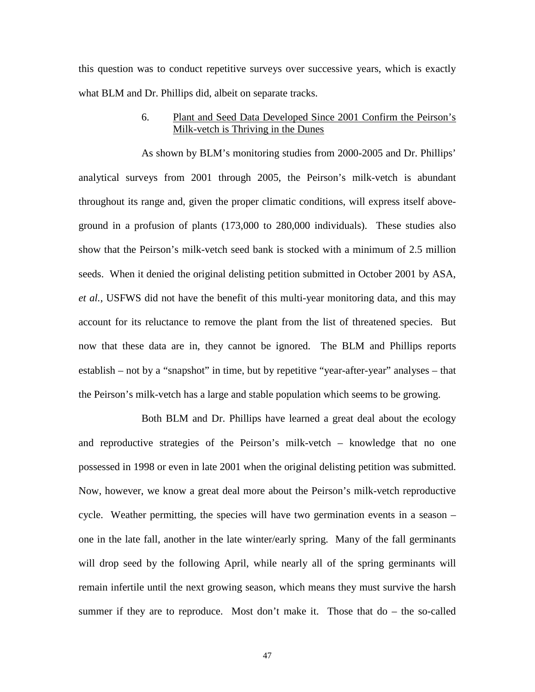this question was to conduct repetitive surveys over successive years, which is exactly what BLM and Dr. Phillips did, albeit on separate tracks.

### 6. Plant and Seed Data Developed Since 2001 Confirm the Peirson's Milk-vetch is Thriving in the Dunes

As shown by BLM's monitoring studies from 2000-2005 and Dr. Phillips' analytical surveys from 2001 through 2005, the Peirson's milk-vetch is abundant throughout its range and, given the proper climatic conditions, will express itself aboveground in a profusion of plants (173,000 to 280,000 individuals). These studies also show that the Peirson's milk-vetch seed bank is stocked with a minimum of 2.5 million seeds. When it denied the original delisting petition submitted in October 2001 by ASA, *et al.*, USFWS did not have the benefit of this multi-year monitoring data, and this may account for its reluctance to remove the plant from the list of threatened species. But now that these data are in, they cannot be ignored. The BLM and Phillips reports establish – not by a "snapshot" in time, but by repetitive "year-after-year" analyses – that the Peirson's milk-vetch has a large and stable population which seems to be growing.

Both BLM and Dr. Phillips have learned a great deal about the ecology and reproductive strategies of the Peirson's milk-vetch – knowledge that no one possessed in 1998 or even in late 2001 when the original delisting petition was submitted. Now, however, we know a great deal more about the Peirson's milk-vetch reproductive cycle. Weather permitting, the species will have two germination events in a season – one in the late fall, another in the late winter/early spring. Many of the fall germinants will drop seed by the following April, while nearly all of the spring germinants will remain infertile until the next growing season, which means they must survive the harsh summer if they are to reproduce. Most don't make it. Those that do – the so-called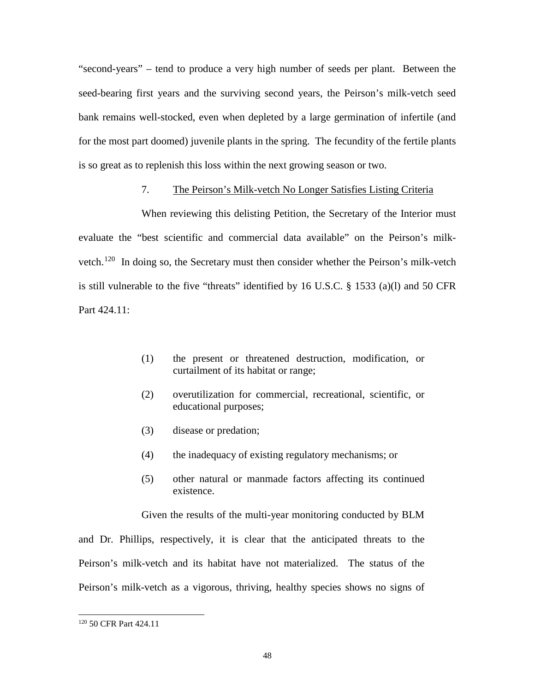"second-years" – tend to produce a very high number of seeds per plant. Between the seed-bearing first years and the surviving second years, the Peirson's milk-vetch seed bank remains well-stocked, even when depleted by a large germination of infertile (and for the most part doomed) juvenile plants in the spring. The fecundity of the fertile plants is so great as to replenish this loss within the next growing season or two.

## 7. The Peirson's Milk-vetch No Longer Satisfies Listing Criteria

When reviewing this delisting Petition, the Secretary of the Interior must evaluate the "best scientific and commercial data available" on the Peirson's milkvetch.<sup>120</sup> In doing so, the Secretary must then consider whether the Peirson's milk-vetch is still vulnerable to the five "threats" identified by 16 U.S.C. § 1533 (a)(l) and 50 CFR Part 424.11:

- (1) the present or threatened destruction, modification, or curtailment of its habitat or range;
- (2) overutilization for commercial, recreational, scientific, or educational purposes;
- (3) disease or predation;
- (4) the inadequacy of existing regulatory mechanisms; or
- (5) other natural or manmade factors affecting its continued existence.

Given the results of the multi-year monitoring conducted by BLM

and Dr. Phillips, respectively, it is clear that the anticipated threats to the Peirson's milk-vetch and its habitat have not materialized. The status of the Peirson's milk-vetch as a vigorous, thriving, healthy species shows no signs of

<span id="page-47-0"></span><sup>120</sup> 50 CFR Part 424.11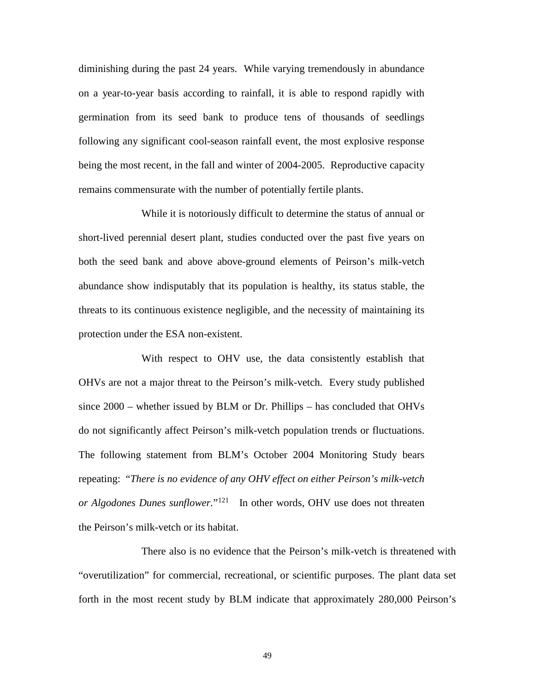diminishing during the past 24 years. While varying tremendously in abundance on a year-to-year basis according to rainfall, it is able to respond rapidly with germination from its seed bank to produce tens of thousands of seedlings following any significant cool-season rainfall event, the most explosive response being the most recent, in the fall and winter of 2004-2005. Reproductive capacity remains commensurate with the number of potentially fertile plants.

While it is notoriously difficult to determine the status of annual or short-lived perennial desert plant, studies conducted over the past five years on both the seed bank and above above-ground elements of Peirson's milk-vetch abundance show indisputably that its population is healthy, its status stable, the threats to its continuous existence negligible, and the necessity of maintaining its protection under the ESA non-existent.

With respect to OHV use, the data consistently establish that OHVs are not a major threat to the Peirson's milk-vetch. Every study published since 2000 – whether issued by BLM or Dr. Phillips – has concluded that OHVs do not significantly affect Peirson's milk-vetch population trends or fluctuations. The following statement from BLM's October 2004 Monitoring Study bears repeating: "*There is no evidence of any OHV effect on either Peirson's milk-vetch or Algodones Dunes sunflower.*"[121](#page-48-0) In other words, OHV use does not threaten the Peirson's milk-vetch or its habitat.

<span id="page-48-0"></span>There also is no evidence that the Peirson's milk-vetch is threatened with "overutilization" for commercial, recreational, or scientific purposes. The plant data set forth in the most recent study by BLM indicate that approximately 280,000 Peirson's

49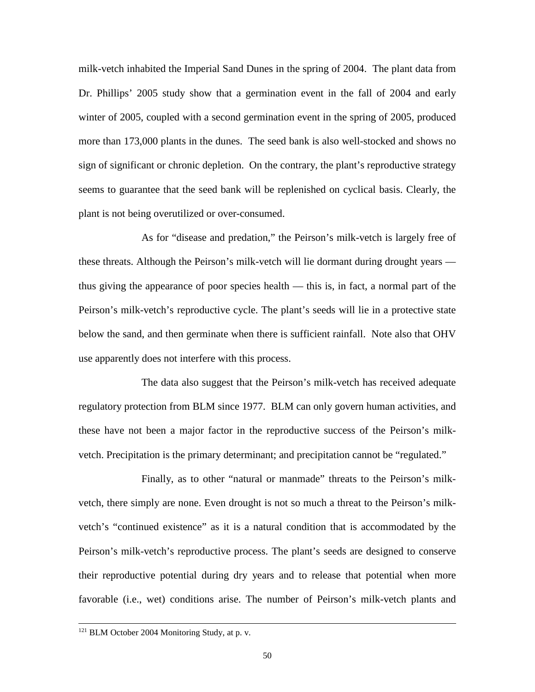milk-vetch inhabited the Imperial Sand Dunes in the spring of 2004. The plant data from Dr. Phillips' 2005 study show that a germination event in the fall of 2004 and early winter of 2005, coupled with a second germination event in the spring of 2005, produced more than 173,000 plants in the dunes. The seed bank is also well-stocked and shows no sign of significant or chronic depletion. On the contrary, the plant's reproductive strategy seems to guarantee that the seed bank will be replenished on cyclical basis. Clearly, the plant is not being overutilized or over-consumed.

As for "disease and predation," the Peirson's milk-vetch is largely free of these threats. Although the Peirson's milk-vetch will lie dormant during drought years thus giving the appearance of poor species health — this is, in fact, a normal part of the Peirson's milk-vetch's reproductive cycle. The plant's seeds will lie in a protective state below the sand, and then germinate when there is sufficient rainfall. Note also that OHV use apparently does not interfere with this process.

The data also suggest that the Peirson's milk-vetch has received adequate regulatory protection from BLM since 1977. BLM can only govern human activities, and these have not been a major factor in the reproductive success of the Peirson's milkvetch. Precipitation is the primary determinant; and precipitation cannot be "regulated."

Finally, as to other "natural or manmade" threats to the Peirson's milkvetch, there simply are none. Even drought is not so much a threat to the Peirson's milkvetch's "continued existence" as it is a natural condition that is accommodated by the Peirson's milk-vetch's reproductive process. The plant's seeds are designed to conserve their reproductive potential during dry years and to release that potential when more favorable (i.e., wet) conditions arise. The number of Peirson's milk-vetch plants and

<sup>121</sup> BLM October 2004 Monitoring Study, at p. v.